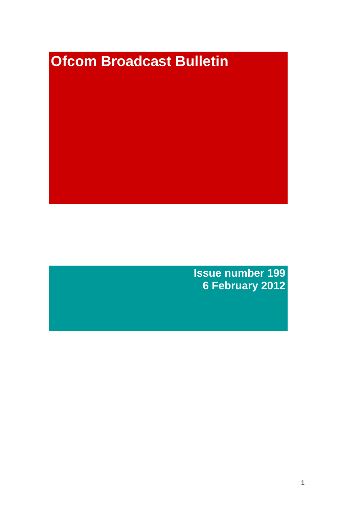# **Ofcom Broadcast Bulletin**

**Issue number 199 6 February 2012**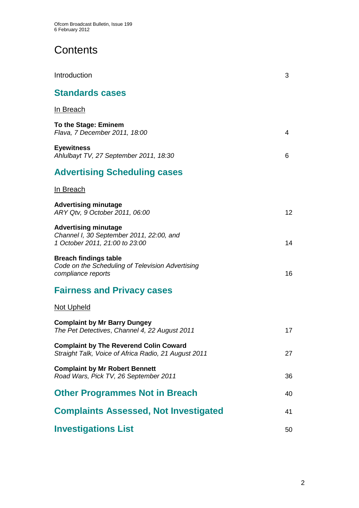# **Contents**

| Introduction                                                                                              | 3  |
|-----------------------------------------------------------------------------------------------------------|----|
| <b>Standards cases</b>                                                                                    |    |
| <u>In Breach</u>                                                                                          |    |
| To the Stage: Eminem<br>Flava, 7 December 2011, 18:00                                                     | 4  |
| <b>Eyewitness</b><br>Ahlulbayt TV, 27 September 2011, 18:30                                               | 6  |
| <b>Advertising Scheduling cases</b>                                                                       |    |
| In Breach                                                                                                 |    |
| <b>Advertising minutage</b><br>ARY Qtv, 9 October 2011, 06:00                                             | 12 |
| <b>Advertising minutage</b><br>Channel I, 30 September 2011, 22:00, and<br>1 October 2011, 21:00 to 23:00 | 14 |
| <b>Breach findings table</b><br>Code on the Scheduling of Television Advertising<br>compliance reports    | 16 |
| <b>Fairness and Privacy cases</b>                                                                         |    |
| <b>Not Upheld</b>                                                                                         |    |
| <b>Complaint by Mr Barry Dungey</b><br>The Pet Detectives, Channel 4, 22 August 2011                      | 17 |
| <b>Complaint by The Reverend Colin Coward</b><br>Straight Talk, Voice of Africa Radio, 21 August 2011     | 27 |
| <b>Complaint by Mr Robert Bennett</b><br>Road Wars, Pick TV, 26 September 2011                            | 36 |
| <b>Other Programmes Not in Breach</b>                                                                     | 40 |
| <b>Complaints Assessed, Not Investigated</b>                                                              | 41 |
| <b>Investigations List</b>                                                                                | 50 |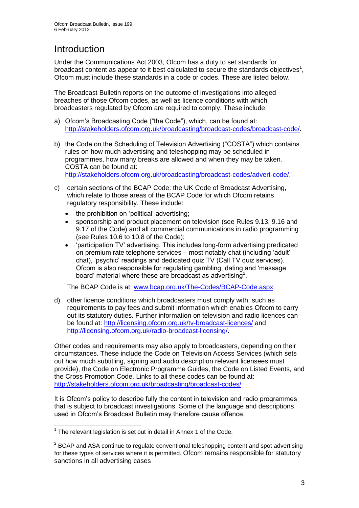# **Introduction**

Under the Communications Act 2003, Ofcom has a duty to set standards for broadcast content as appear to it best calculated to secure the standards objectives<sup>1</sup>, Ofcom must include these standards in a code or codes. These are listed below.

The Broadcast Bulletin reports on the outcome of investigations into alleged breaches of those Ofcom codes, as well as licence conditions with which broadcasters regulated by Ofcom are required to comply. These include:

- a) Ofcom's Broadcasting Code ("the Code"), which, can be found at: [http://stakeholders.ofcom.org.uk/broadcasting/broadcast-codes/broadcast-code/.](http://stakeholders.ofcom.org.uk/broadcasting/broadcast-codes/broadcast-code/)
- b) the Code on the Scheduling of Television Advertising ("COSTA") which contains rules on how much advertising and teleshopping may be scheduled in programmes, how many breaks are allowed and when they may be taken. COSTA can be found at: [http://stakeholders.ofcom.org.uk/broadcasting/broadcast-codes/advert-code/.](http://stakeholders.ofcom.org.uk/broadcasting/broadcast-codes/advert-code/)

c) certain sections of the BCAP Code: the UK Code of Broadcast Advertising, which relate to those areas of the BCAP Code for which Ofcom retains regulatory responsibility. These include:

- the prohibition on 'political' advertising;
- sponsorship and product placement on television (see Rules 9.13, 9.16 and 9.17 of the Code) and all commercial communications in radio programming (see Rules 10.6 to 10.8 of the Code);
- 'participation TV' advertising. This includes long-form advertising predicated on premium rate telephone services – most notably chat (including 'adult' chat), 'psychic' readings and dedicated quiz TV (Call TV quiz services). Ofcom is also responsible for regulating gambling, dating and 'message board' material where these are broadcast as advertising<sup>2</sup>.

The BCAP Code is at: [www.bcap.org.uk/The-Codes/BCAP-Code.aspx](http://www.bcap.org.uk/The-Codes/BCAP-Code.aspx)

d) other licence conditions which broadcasters must comply with, such as requirements to pay fees and submit information which enables Ofcom to carry out its statutory duties. Further information on television and radio licences can be found at:<http://licensing.ofcom.org.uk/tv-broadcast-licences/> and [http://licensing.ofcom.org.uk/radio-broadcast-licensing/.](http://licensing.ofcom.org.uk/radio-broadcast-licensing/)

Other codes and requirements may also apply to broadcasters, depending on their circumstances. These include the Code on Television Access Services (which sets out how much subtitling, signing and audio description relevant licensees must provide), the Code on Electronic Programme Guides, the Code on Listed Events, and the Cross Promotion Code. Links to all these codes can be found at: <http://stakeholders.ofcom.org.uk/broadcasting/broadcast-codes/>

It is Ofcom's policy to describe fully the content in television and radio programmes that is subject to broadcast investigations. Some of the language and descriptions used in Ofcom's Broadcast Bulletin may therefore cause offence.

<sup>1</sup>  $1$  The relevant legislation is set out in detail in Annex 1 of the Code.

 $2$  BCAP and ASA continue to regulate conventional teleshopping content and spot advertising for these types of services where it is permitted. Ofcom remains responsible for statutory sanctions in all advertising cases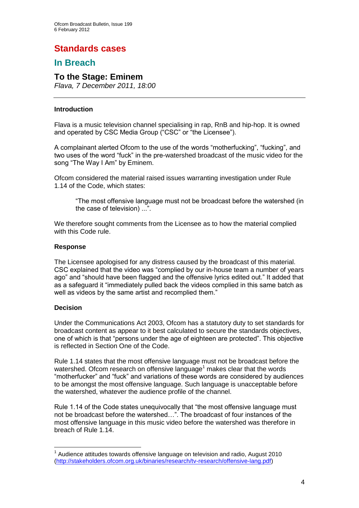# **Standards cases**

### **In Breach**

### **To the Stage: Eminem**

*Flava, 7 December 2011, 18:00*

### **Introduction**

Flava is a music television channel specialising in rap, RnB and hip-hop. It is owned and operated by CSC Media Group ("CSC" or "the Licensee").

A complainant alerted Ofcom to the use of the words "motherfucking", "fucking", and two uses of the word "fuck" in the pre-watershed broadcast of the music video for the song "The Way I Am" by Eminem.

Ofcom considered the material raised issues warranting investigation under Rule 1.14 of the Code, which states:

"The most offensive language must not be broadcast before the watershed (in the case of television) ...".

We therefore sought comments from the Licensee as to how the material complied with this Code rule.

### **Response**

The Licensee apologised for any distress caused by the broadcast of this material. CSC explained that the video was "complied by our in-house team a number of years ago" and "should have been flagged and the offensive lyrics edited out." It added that as a safeguard it "immediately pulled back the videos complied in this same batch as well as videos by the same artist and recomplied them."

### **Decision**

1

Under the Communications Act 2003, Ofcom has a statutory duty to set standards for broadcast content as appear to it best calculated to secure the standards objectives, one of which is that "persons under the age of eighteen are protected". This objective is reflected in Section One of the Code.

Rule 1.14 states that the most offensive language must not be broadcast before the watershed. Ofcom research on offensive language<sup>1</sup> makes clear that the words "motherfucker" and "fuck" and variations of these words are considered by audiences to be amongst the most offensive language. Such language is unacceptable before the watershed, whatever the audience profile of the channel.

Rule 1.14 of the Code states unequivocally that "the most offensive language must not be broadcast before the watershed…". The broadcast of four instances of the most offensive language in this music video before the watershed was therefore in breach of Rule 1.14.

 $1$  Audience attitudes towards offensive language on television and radio, August 2010 [\(http://stakeholders.ofcom.org.uk/binaries/research/tv-research/offensive-lang.pdf\)](http://stakeholders.ofcom.org.uk/binaries/research/tv-research/offensive-lang.pdf)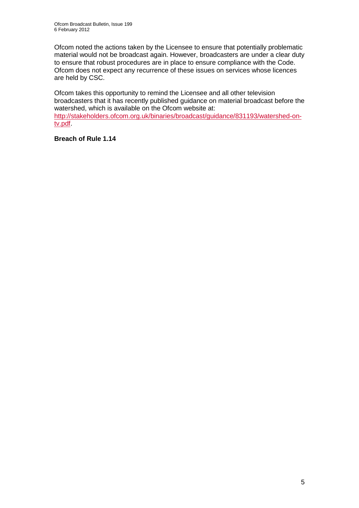Ofcom noted the actions taken by the Licensee to ensure that potentially problematic material would not be broadcast again. However, broadcasters are under a clear duty to ensure that robust procedures are in place to ensure compliance with the Code. Ofcom does not expect any recurrence of these issues on services whose licences are held by CSC.

Ofcom takes this opportunity to remind the Licensee and all other television broadcasters that it has recently published guidance on material broadcast before the watershed, which is available on the Ofcom website at: [http://stakeholders.ofcom.org.uk/binaries/broadcast/guidance/831193/watershed-on](http://stakeholders.ofcom.org.uk/binaries/broadcast/guidance/831193/watershed-on-tv.pdf)[tv.pdf.](http://stakeholders.ofcom.org.uk/binaries/broadcast/guidance/831193/watershed-on-tv.pdf)

**Breach of Rule 1.14**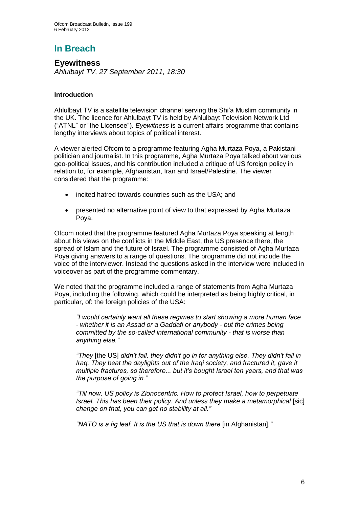# **In Breach**

**Eyewitness** *Ahlulbayt TV, 27 September 2011, 18:30*

### **Introduction**

Ahlulbayt TV is a satellite television channel serving the Shi'a Muslim community in the UK. The licence for Ahlulbayt TV is held by Ahlulbayt Television Network Ltd ("ATNL" or "the Licensee"). *Eyewitness* is a current affairs programme that contains lengthy interviews about topics of political interest.

A viewer alerted Ofcom to a programme featuring Agha Murtaza Poya, a Pakistani politician and journalist. In this programme, Agha Murtaza Poya talked about various geo-political issues, and his contribution included a critique of US foreign policy in relation to, for example, Afghanistan, Iran and Israel/Palestine. The viewer considered that the programme:

- incited hatred towards countries such as the USA; and
- presented no alternative point of view to that expressed by Agha Murtaza Poya.

Ofcom noted that the programme featured Agha Murtaza Poya speaking at length about his views on the conflicts in the Middle East, the US presence there, the spread of Islam and the future of Israel. The programme consisted of Agha Murtaza Poya giving answers to a range of questions. The programme did not include the voice of the interviewer. Instead the questions asked in the interview were included in voiceover as part of the programme commentary.

We noted that the programme included a range of statements from Agha Murtaza Poya, including the following, which could be interpreted as being highly critical, in particular, of: the foreign policies of the USA:

*"I would certainly want all these regimes to start showing a more human face - whether it is an Assad or a Gaddafi or anybody - but the crimes being committed by the so-called international community - that is worse than anything else."* 

*"They* [the US] *didn't fail, they didn't go in for anything else. They didn't fail in Iraq. They beat the daylights out of the Iraqi society, and fractured it, gave it multiple fractures, so therefore... but it's bought Israel ten years, and that was the purpose of going in."*

*"Till now, US policy is Zionocentric. How to protect Israel, how to perpetuate Israel. This has been their policy. And unless they make a metamorphical [sic] change on that, you can get no stability at all."*

*"NATO is a fig leaf. It is the US that is down there* [in Afghanistan]*."*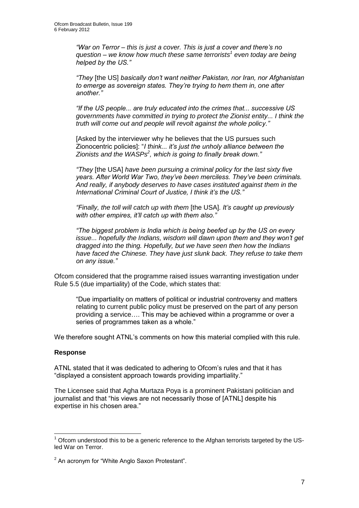*"War on Terror – this is just a cover. This is just a cover and there's no question – we know how much these same terrorists<sup>1</sup> even today are being helped by the US."*

*"They* [the US] *basically don't want neither Pakistan, nor Iran, nor Afghanistan to emerge as sovereign states. They're trying to hem them in, one after another."*

*"If the US people... are truly educated into the crimes that... successive US governments have committed in trying to protect the Zionist entity... I think the truth will come out and people will revolt against the whole policy."*

[Asked by the interviewer why he believes that the US pursues such Zionocentric policies]: "*I think... it's just the unholy alliance between the Zionists and the WASPs<sup>2</sup> , which is going to finally break down."*

*"They* [the USA] *have been pursuing a criminal policy for the last sixty five years. After World War Two, they've been merciless. They've been criminals. And really, if anybody deserves to have cases instituted against them in the International Criminal Court of Justice, I think it's the US."*

*"Finally, the toll will catch up with them* [the USA]*. It's caught up previously with other empires, it'll catch up with them also."*

*"The biggest problem is India which is being beefed up by the US on every issue... hopefully the Indians, wisdom will dawn upon them and they won't get dragged into the thing. Hopefully, but we have seen then how the Indians have faced the Chinese. They have just slunk back. They refuse to take them on any issue."*

Ofcom considered that the programme raised issues warranting investigation under Rule 5.5 (due impartiality) of the Code, which states that:

"Due impartiality on matters of political or industrial controversy and matters relating to current public policy must be preserved on the part of any person providing a service…. This may be achieved within a programme or over a series of programmes taken as a whole."

We therefore sought ATNL's comments on how this material complied with this rule.

### **Response**

1

ATNL stated that it was dedicated to adhering to Ofcom's rules and that it has "displayed a consistent approach towards providing impartiality."

The Licensee said that Agha Murtaza Poya is a prominent Pakistani politician and journalist and that "his views are not necessarily those of [ATNL] despite his expertise in his chosen area."

 $1$  Ofcom understood this to be a generic reference to the Afghan terrorists targeted by the USled War on Terror.

 $2$  An acronym for "White Anglo Saxon Protestant".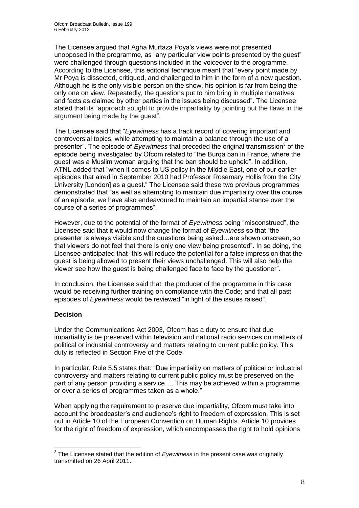The Licensee argued that Agha Murtaza Poya's views were not presented unopposed in the programme, as "any particular view points presented by the guest" were challenged through questions included in the voiceover to the programme. According to the Licensee, this editorial technique meant that "every point made by Mr Poya is dissected, critiqued, and challenged to him in the form of a new question. Although he is the only visible person on the show, his opinion is far from being the only one on view. Repeatedly, the questions put to him bring in multiple narratives and facts as claimed by other parties in the issues being discussed". The Licensee stated that its "approach sought to provide impartiality by pointing out the flaws in the argument being made by the guest".

The Licensee said that "*Eyewitness* has a track record of covering important and controversial topics, while attempting to maintain a balance through the use of a presenter". The episode of *Eyewitness* that preceded the original transmission<sup>3</sup> of the episode being investigated by Ofcom related to "the Burqa ban in France, where the guest was a Muslim woman arguing that the ban should be upheld". In addition, ATNL added that "when it comes to US policy in the Middle East, one of our earlier episodes that aired in September 2010 had Professor Rosemary Hollis from the City University [London] as a guest." The Licensee said these two previous programmes demonstrated that "as well as attempting to maintain due impartiality over the course of an episode, we have also endeavoured to maintain an impartial stance over the course of a series of programmes".

However, due to the potential of the format of *Eyewitness* being "misconstrued", the Licensee said that it would now change the format of *Eyewitness* so that "the presenter is always visible and the questions being asked…are shown onscreen, so that viewers do not feel that there is only one view being presented". In so doing, the Licensee anticipated that "this will reduce the potential for a false impression that the guest is being allowed to present their views unchallenged. This will also help the viewer see how the guest is being challenged face to face by the questioner".

In conclusion, the Licensee said that: the producer of the programme in this case would be receiving further training on compliance with the Code; and that all past episodes of *Eyewitness* would be reviewed "in light of the issues raised".

### **Decision**

Under the Communications Act 2003, Ofcom has a duty to ensure that due impartiality is be preserved within television and national radio services on matters of political or industrial controversy and matters relating to current public policy. This duty is reflected in Section Five of the Code.

In particular, Rule 5.5 states that: "Due impartiality on matters of political or industrial controversy and matters relating to current public policy must be preserved on the part of any person providing a service…. This may be achieved within a programme or over a series of programmes taken as a whole."

When applying the requirement to preserve due impartiality, Ofcom must take into account the broadcaster's and audience's right to freedom of expression. This is set out in Article 10 of the European Convention on Human Rights. Article 10 provides for the right of freedom of expression, which encompasses the right to hold opinions

 3 The Licensee stated that the edition of *Eyewitness* in the present case was originally transmitted on 26 April 2011.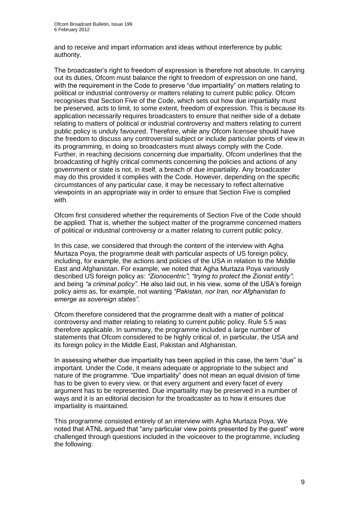and to receive and impart information and ideas without interference by public authority.

The broadcaster's right to freedom of expression is therefore not absolute. In carrying out its duties, Ofcom must balance the right to freedom of expression on one hand, with the requirement in the Code to preserve "due impartiality" on matters relating to political or industrial controversy or matters relating to current public policy. Ofcom recognises that Section Five of the Code, which sets out how due impartiality must be preserved, acts to limit, to some extent, freedom of expression. This is because its application necessarily requires broadcasters to ensure that neither side of a debate relating to matters of political or industrial controversy and matters relating to current public policy is unduly favoured. Therefore, while any Ofcom licensee should have the freedom to discuss any controversial subject or include particular points of view in its programming, in doing so broadcasters must always comply with the Code. Further, in reaching decisions concerning due impartiality, Ofcom underlines that the broadcasting of highly critical comments concerning the policies and actions of any government or state is not, in itself, a breach of due impartiality. Any broadcaster may do this provided it complies with the Code. However, depending on the specific circumstances of any particular case, it may be necessary to reflect alternative viewpoints in an appropriate way in order to ensure that Section Five is complied with.

Ofcom first considered whether the requirements of Section Five of the Code should be applied. That is, whether the subject matter of the programme concerned matters of political or industrial controversy or a matter relating to current public policy.

In this case, we considered that through the content of the interview with Agha Murtaza Poya, the programme dealt with particular aspects of US foreign policy, including, for example, the actions and policies of the USA in relation to the Middle East and Afghanistan. For example, we noted that Agha Murtaza Poya variously described US foreign policy as: *"Zionocentric"*; *"trying to protect the Zionist entity"*; and being *"a criminal policy"*. He also laid out, in his view, some of the USA's foreign policy aims as, for example, not wanting *"Pakistan, nor Iran, nor Afghanistan to emerge as sovereign states".*

Ofcom therefore considered that the programme dealt with a matter of political controversy and matter relating to relating to current public policy. Rule 5.5 was therefore applicable. In summary, the programme included a large number of statements that Ofcom considered to be highly critical of, in particular, the USA and its foreign policy in the Middle East, Pakistan and Afghanistan.

In assessing whether due impartiality has been applied in this case, the term "due" is important. Under the Code, it means adequate or appropriate to the subject and nature of the programme. "Due impartiality" does not mean an equal division of time has to be given to every view, or that every argument and every facet of every argument has to be represented. Due impartiality may be preserved in a number of ways and it is an editorial decision for the broadcaster as to how it ensures due impartiality is maintained.

This programme consisted entirely of an interview with Agha Murtaza Poya. We noted that ATNL argued that "any particular view points presented by the guest" were challenged through questions included in the voiceover to the programme, including the following: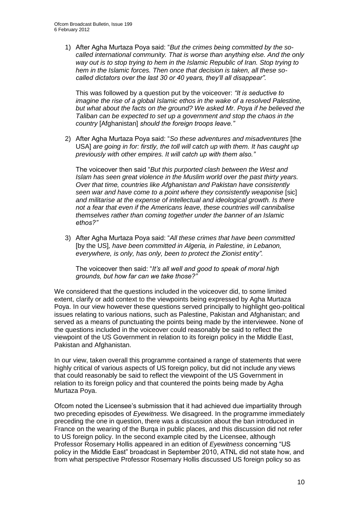1) After Agha Murtaza Poya said: "*But the crimes being committed by the socalled international community. That is worse than anything else. And the only way out is to stop trying to hem in the Islamic Republic of Iran. Stop trying to hem in the Islamic forces. Then once that decision is taken, all these socalled dictators over the last 30 or 40 years, they'll all disappear".*

This was followed by a question put by the voiceover: *"It is seductive to imagine the rise of a global Islamic ethos in the wake of a resolved Palestine, but what about the facts on the ground? We asked Mr. Poya if he believed the Taliban can be expected to set up a government and stop the chaos in the country* [Afghanistan] *should the foreign troops leave."*

2) After Agha Murtaza Poya said: "*So these adventures and misadventures* [the USA] *are going in for: firstly, the toll will catch up with them. It has caught up previously with other empires. It will catch up with them also."*

The voiceover then said "*But this purported clash between the West and Islam has seen great violence in the Muslim world over the past thirty years. Over that time, countries like Afghanistan and Pakistan have consistently seen war and have come to a point where they consistently weaponise* [sic] *and militarise at the expense of intellectual and ideological growth. Is there not a fear that even if the Americans leave, these countries will cannibalise themselves rather than coming together under the banner of an Islamic ethos?"*

3) After Agha Murtaza Poya said: "*All these crimes that have been committed*  [by the US]*, have been committed in Algeria, in Palestine, in Lebanon, everywhere, is only, has only, been to protect the Zionist entity".*

The voiceover then said: "*It's all well and good to speak of moral high grounds, but how far can we take those?"*

We considered that the questions included in the voiceover did, to some limited extent, clarify or add context to the viewpoints being expressed by Agha Murtaza Poya. In our view however these questions served principally to highlight geo-political issues relating to various nations, such as Palestine, Pakistan and Afghanistan; and served as a means of punctuating the points being made by the interviewee. None of the questions included in the voiceover could reasonably be said to reflect the viewpoint of the US Government in relation to its foreign policy in the Middle East, Pakistan and Afghanistan.

In our view, taken overall this programme contained a range of statements that were highly critical of various aspects of US foreign policy, but did not include any views that could reasonably be said to reflect the viewpoint of the US Government in relation to its foreign policy and that countered the points being made by Agha Murtaza Poya.

Ofcom noted the Licensee's submission that it had achieved due impartiality through two preceding episodes of *Eyewitness.* We disagreed. In the programme immediately preceding the one in question, there was a discussion about the ban introduced in France on the wearing of the Burqa in public places, and this discussion did not refer to US foreign policy. In the second example cited by the Licensee, although Professor Rosemary Hollis appeared in an edition of *Eyewitness* concerning "US policy in the Middle East" broadcast in September 2010, ATNL did not state how, and from what perspective Professor Rosemary Hollis discussed US foreign policy so as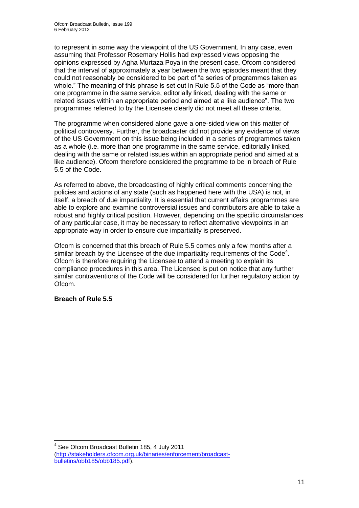to represent in some way the viewpoint of the US Government. In any case, even assuming that Professor Rosemary Hollis had expressed views opposing the opinions expressed by Agha Murtaza Poya in the present case, Ofcom considered that the interval of approximately a year between the two episodes meant that they could not reasonably be considered to be part of "a series of programmes taken as whole." The meaning of this phrase is set out in Rule 5.5 of the Code as "more than one programme in the same service, editorially linked, dealing with the same or related issues within an appropriate period and aimed at a like audience". The two programmes referred to by the Licensee clearly did not meet all these criteria.

The programme when considered alone gave a one-sided view on this matter of political controversy. Further, the broadcaster did not provide any evidence of views of the US Government on this issue being included in a series of programmes taken as a whole (i.e. more than one programme in the same service, editorially linked, dealing with the same or related issues within an appropriate period and aimed at a like audience). Ofcom therefore considered the programme to be in breach of Rule 5.5 of the Code.

As referred to above, the broadcasting of highly critical comments concerning the policies and actions of any state (such as happened here with the USA) is not, in itself, a breach of due impartiality. It is essential that current affairs programmes are able to explore and examine controversial issues and contributors are able to take a robust and highly critical position. However, depending on the specific circumstances of any particular case, it may be necessary to reflect alternative viewpoints in an appropriate way in order to ensure due impartiality is preserved.

Ofcom is concerned that this breach of Rule 5.5 comes only a few months after a similar breach by the Licensee of the due impartiality requirements of the Code<sup>4</sup>. Ofcom is therefore requiring the Licensee to attend a meeting to explain its compliance procedures in this area. The Licensee is put on notice that any further similar contraventions of the Code will be considered for further regulatory action by Ofcom.

### **Breach of Rule 5.5**

<sup>1</sup> <sup>4</sup> See Ofcom Broadcast Bulletin 185, 4 July 2011 [\(http://stakeholders.ofcom.org.uk/binaries/enforcement/broadcast](http://stakeholders.ofcom.org.uk/binaries/enforcement/broadcast-bulletins/obb185/obb185.pdf)[bulletins/obb185/obb185.pdf\)](http://stakeholders.ofcom.org.uk/binaries/enforcement/broadcast-bulletins/obb185/obb185.pdf).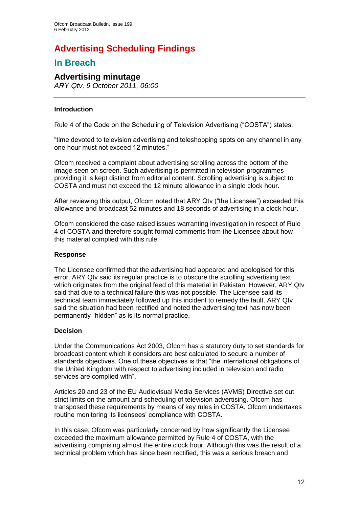# **Advertising Scheduling Findings**

### **In Breach**

### **Advertising minutage**

*ARY Qtv, 9 October 2011, 06:00*

### **Introduction**

Rule 4 of the Code on the Scheduling of Television Advertising ("COSTA") states:

"time devoted to television advertising and teleshopping spots on any channel in any one hour must not exceed 12 minutes."

Ofcom received a complaint about advertising scrolling across the bottom of the image seen on screen. Such advertising is permitted in television programmes providing it is kept distinct from editorial content. Scrolling advertising is subject to COSTA and must not exceed the 12 minute allowance in a single clock hour.

After reviewing this output, Ofcom noted that ARY Qtv ("the Licensee") exceeded this allowance and broadcast 52 minutes and 18 seconds of advertising in a clock hour.

Ofcom considered the case raised issues warranting investigation in respect of Rule 4 of COSTA and therefore sought formal comments from the Licensee about how this material complied with this rule.

### **Response**

The Licensee confirmed that the advertising had appeared and apologised for this error. ARY Qtv said its regular practice is to obscure the scrolling advertising text which originates from the original feed of this material in Pakistan. However, ARY Qtv said that due to a technical failure this was not possible. The Licensee said its technical team immediately followed up this incident to remedy the fault. ARY Qtv said the situation had been rectified and noted the advertising text has now been permanently "hidden" as is its normal practice.

### **Decision**

Under the Communications Act 2003, Ofcom has a statutory duty to set standards for broadcast content which it considers are best calculated to secure a number of standards objectives. One of these objectives is that "the international obligations of the United Kingdom with respect to advertising included in television and radio services are complied with".

Articles 20 and 23 of the EU Audiovisual Media Services (AVMS) Directive set out strict limits on the amount and scheduling of television advertising. Ofcom has transposed these requirements by means of key rules in COSTA. Ofcom undertakes routine monitoring its licensees' compliance with COSTA.

In this case, Ofcom was particularly concerned by how significantly the Licensee exceeded the maximum allowance permitted by Rule 4 of COSTA, with the advertising comprising almost the entire clock hour. Although this was the result of a technical problem which has since been rectified, this was a serious breach and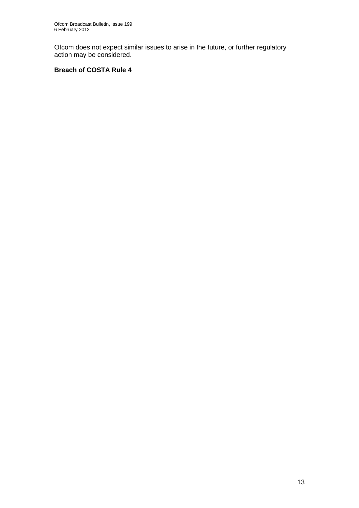Ofcom does not expect similar issues to arise in the future, or further regulatory action may be considered.

### **Breach of COSTA Rule 4**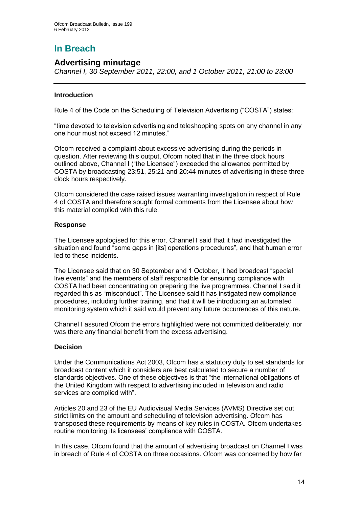## **In Breach**

### **Advertising minutage**

*Channel I, 30 September 2011, 22:00, and 1 October 2011, 21:00 to 23:00*

### **Introduction**

Rule 4 of the Code on the Scheduling of Television Advertising ("COSTA") states:

"time devoted to television advertising and teleshopping spots on any channel in any one hour must not exceed 12 minutes."

Ofcom received a complaint about excessive advertising during the periods in question. After reviewing this output, Ofcom noted that in the three clock hours outlined above, Channel I ("the Licensee") exceeded the allowance permitted by COSTA by broadcasting 23:51, 25:21 and 20:44 minutes of advertising in these three clock hours respectively.

Ofcom considered the case raised issues warranting investigation in respect of Rule 4 of COSTA and therefore sought formal comments from the Licensee about how this material complied with this rule.

### **Response**

The Licensee apologised for this error. Channel I said that it had investigated the situation and found "some gaps in [its] operations procedures", and that human error led to these incidents.

The Licensee said that on 30 September and 1 October, it had broadcast "special live events" and the members of staff responsible for ensuring compliance with COSTA had been concentrating on preparing the live programmes. Channel I said it regarded this as "misconduct". The Licensee said it has instigated new compliance procedures, including further training, and that it will be introducing an automated monitoring system which it said would prevent any future occurrences of this nature.

Channel I assured Ofcom the errors highlighted were not committed deliberately, nor was there any financial benefit from the excess advertising.

### **Decision**

Under the Communications Act 2003, Ofcom has a statutory duty to set standards for broadcast content which it considers are best calculated to secure a number of standards objectives. One of these objectives is that "the international obligations of the United Kingdom with respect to advertising included in television and radio services are complied with".

Articles 20 and 23 of the EU Audiovisual Media Services (AVMS) Directive set out strict limits on the amount and scheduling of television advertising. Ofcom has transposed these requirements by means of key rules in COSTA. Ofcom undertakes routine monitoring its licensees' compliance with COSTA.

In this case, Ofcom found that the amount of advertising broadcast on Channel I was in breach of Rule 4 of COSTA on three occasions. Ofcom was concerned by how far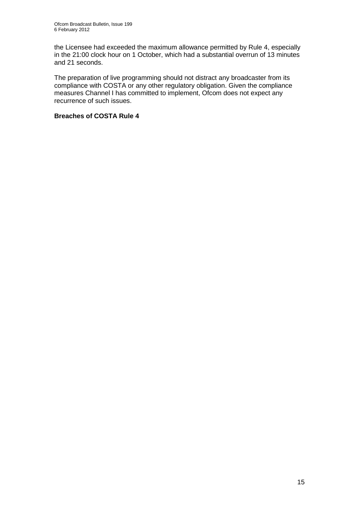the Licensee had exceeded the maximum allowance permitted by Rule 4, especially in the 21:00 clock hour on 1 October, which had a substantial overrun of 13 minutes and 21 seconds.

The preparation of live programming should not distract any broadcaster from its compliance with COSTA or any other regulatory obligation. Given the compliance measures Channel I has committed to implement, Ofcom does not expect any recurrence of such issues.

### **Breaches of COSTA Rule 4**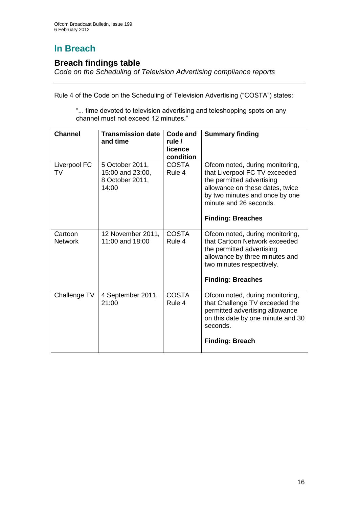# **In Breach**

### **Breach findings table**

*Code on the Scheduling of Television Advertising compliance reports*

Rule 4 of the Code on the Scheduling of Television Advertising ("COSTA") states:

"... time devoted to television advertising and teleshopping spots on any channel must not exceed 12 minutes."

| <b>Channel</b>            | <b>Transmission date</b><br>and time                            | Code and<br>rule /<br>licence<br>condition | <b>Summary finding</b>                                                                                                                                                                                                   |
|---------------------------|-----------------------------------------------------------------|--------------------------------------------|--------------------------------------------------------------------------------------------------------------------------------------------------------------------------------------------------------------------------|
| Liverpool FC<br>TV        | 5 October 2011,<br>15:00 and 23:00,<br>8 October 2011,<br>14:00 | <b>COSTA</b><br>Rule 4                     | Ofcom noted, during monitoring,<br>that Liverpool FC TV exceeded<br>the permitted advertising<br>allowance on these dates, twice<br>by two minutes and once by one<br>minute and 26 seconds.<br><b>Finding: Breaches</b> |
| Cartoon<br><b>Network</b> | 12 November 2011,<br>11:00 and 18:00                            | <b>COSTA</b><br>Rule 4                     | Ofcom noted, during monitoring,<br>that Cartoon Network exceeded<br>the permitted advertising<br>allowance by three minutes and<br>two minutes respectively.<br><b>Finding: Breaches</b>                                 |
| Challenge TV              | 4 September 2011,<br>21:00                                      | <b>COSTA</b><br>Rule 4                     | Ofcom noted, during monitoring,<br>that Challenge TV exceeded the<br>permitted advertising allowance<br>on this date by one minute and 30<br>seconds.<br><b>Finding: Breach</b>                                          |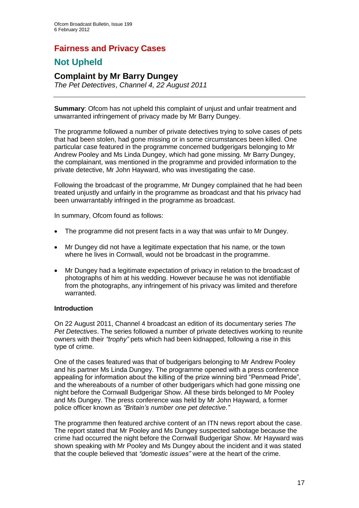### **Fairness and Privacy Cases**

### **Not Upheld**

### **Complaint by Mr Barry Dungey**

*The Pet Detectives*, *Channel 4, 22 August 2011*

**Summary**: Ofcom has not upheld this complaint of unjust and unfair treatment and unwarranted infringement of privacy made by Mr Barry Dungey.

The programme followed a number of private detectives trying to solve cases of pets that had been stolen, had gone missing or in some circumstances been killed. One particular case featured in the programme concerned budgerigars belonging to Mr Andrew Pooley and Ms Linda Dungey, which had gone missing. Mr Barry Dungey, the complainant, was mentioned in the programme and provided information to the private detective, Mr John Hayward, who was investigating the case.

Following the broadcast of the programme, Mr Dungey complained that he had been treated unjustly and unfairly in the programme as broadcast and that his privacy had been unwarrantably infringed in the programme as broadcast.

In summary, Ofcom found as follows:

- The programme did not present facts in a way that was unfair to Mr Dungey.
- Mr Dungey did not have a legitimate expectation that his name, or the town where he lives in Cornwall, would not be broadcast in the programme.
- Mr Dungey had a legitimate expectation of privacy in relation to the broadcast of photographs of him at his wedding. However because he was not identifiable from the photographs, any infringement of his privacy was limited and therefore warranted.

### **Introduction**

On 22 August 2011, Channel 4 broadcast an edition of its documentary series *The Pet Detectives*. The series followed a number of private detectives working to reunite owners with their *"trophy"* pets which had been kidnapped, following a rise in this type of crime.

One of the cases featured was that of budgerigars belonging to Mr Andrew Pooley and his partner Ms Linda Dungey. The programme opened with a press conference appealing for information about the killing of the prize winning bird "Penmead Pride", and the whereabouts of a number of other budgerigars which had gone missing one night before the Cornwall Budgerigar Show. All these birds belonged to Mr Pooley and Ms Dungey. The press conference was held by Mr John Hayward, a former police officer known as *"Britain's number one pet detective*.*"*

The programme then featured archive content of an ITN news report about the case. The report stated that Mr Pooley and Ms Dungey suspected sabotage because the crime had occurred the night before the Cornwall Budgerigar Show. Mr Hayward was shown speaking with Mr Pooley and Ms Dungey about the incident and it was stated that the couple believed that *"domestic issues"* were at the heart of the crime.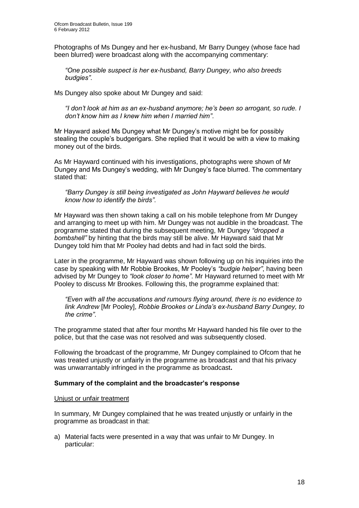Photographs of Ms Dungey and her ex-husband, Mr Barry Dungey (whose face had been blurred) were broadcast along with the accompanying commentary:

*"One possible suspect is her ex-husband, Barry Dungey, who also breeds budgies"*.

Ms Dungey also spoke about Mr Dungey and said:

*"I don't look at him as an ex-husband anymore; he's been so arrogant, so rude. I don't know him as I knew him when I married him"*.

Mr Hayward asked Ms Dungey what Mr Dungey's motive might be for possibly stealing the couple's budgerigars. She replied that it would be with a view to making money out of the birds.

As Mr Hayward continued with his investigations, photographs were shown of Mr Dungey and Ms Dungey's wedding, with Mr Dungey's face blurred. The commentary stated that:

#### *"Barry Dungey is still being investigated as John Hayward believes he would know how to identify the birds"*.

Mr Hayward was then shown taking a call on his mobile telephone from Mr Dungey and arranging to meet up with him. Mr Dungey was not audible in the broadcast. The programme stated that during the subsequent meeting, Mr Dungey *"dropped a bombshell"* by hinting that the birds may still be alive. Mr Hayward said that Mr Dungey told him that Mr Pooley had debts and had in fact sold the birds.

Later in the programme, Mr Hayward was shown following up on his inquiries into the case by speaking with Mr Robbie Brookes, Mr Pooley's *"budgie helper"*, having been advised by Mr Dungey to *"look closer to home"*. Mr Hayward returned to meet with Mr Pooley to discuss Mr Brookes. Following this, the programme explained that:

*"Even with all the accusations and rumours flying around, there is no evidence to link Andrew* [Mr Pooley], *Robbie Brookes or Linda's ex-husband Barry Dungey, to the crime"*.

The programme stated that after four months Mr Hayward handed his file over to the police, but that the case was not resolved and was subsequently closed.

Following the broadcast of the programme, Mr Dungey complained to Ofcom that he was treated unjustly or unfairly in the programme as broadcast and that his privacy was unwarrantably infringed in the programme as broadcast**.**

### **Summary of the complaint and the broadcaster's response**

#### Unjust or unfair treatment

In summary, Mr Dungey complained that he was treated unjustly or unfairly in the programme as broadcast in that:

a) Material facts were presented in a way that was unfair to Mr Dungey. In particular: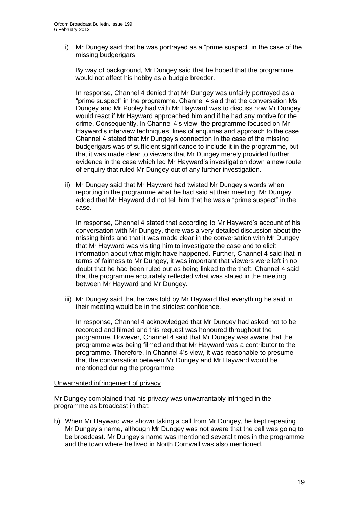i) Mr Dungey said that he was portrayed as a "prime suspect" in the case of the missing budgerigars.

By way of background, Mr Dungey said that he hoped that the programme would not affect his hobby as a budgie breeder.

In response, Channel 4 denied that Mr Dungey was unfairly portrayed as a "prime suspect" in the programme. Channel 4 said that the conversation Ms Dungey and Mr Pooley had with Mr Hayward was to discuss how Mr Dungey would react if Mr Hayward approached him and if he had any motive for the crime. Consequently, in Channel 4's view, the programme focused on Mr Hayward's interview techniques, lines of enquiries and approach to the case. Channel 4 stated that Mr Dungey's connection in the case of the missing budgerigars was of sufficient significance to include it in the programme, but that it was made clear to viewers that Mr Dungey merely provided further evidence in the case which led Mr Hayward's investigation down a new route of enquiry that ruled Mr Dungey out of any further investigation.

ii) Mr Dungey said that Mr Hayward had twisted Mr Dungey's words when reporting in the programme what he had said at their meeting. Mr Dungey added that Mr Hayward did not tell him that he was a "prime suspect" in the case.

In response, Channel 4 stated that according to Mr Hayward's account of his conversation with Mr Dungey, there was a very detailed discussion about the missing birds and that it was made clear in the conversation with Mr Dungey that Mr Hayward was visiting him to investigate the case and to elicit information about what might have happened. Further, Channel 4 said that in terms of fairness to Mr Dungey, it was important that viewers were left in no doubt that he had been ruled out as being linked to the theft. Channel 4 said that the programme accurately reflected what was stated in the meeting between Mr Hayward and Mr Dungey.

iii) Mr Dungey said that he was told by Mr Hayward that everything he said in their meeting would be in the strictest confidence.

In response, Channel 4 acknowledged that Mr Dungey had asked not to be recorded and filmed and this request was honoured throughout the programme. However, Channel 4 said that Mr Dungey was aware that the programme was being filmed and that Mr Hayward was a contributor to the programme. Therefore, in Channel 4's view, it was reasonable to presume that the conversation between Mr Dungey and Mr Hayward would be mentioned during the programme.

#### Unwarranted infringement of privacy

Mr Dungey complained that his privacy was unwarrantably infringed in the programme as broadcast in that:

b) When Mr Hayward was shown taking a call from Mr Dungey, he kept repeating Mr Dungey's name, although Mr Dungey was not aware that the call was going to be broadcast. Mr Dungey's name was mentioned several times in the programme and the town where he lived in North Cornwall was also mentioned.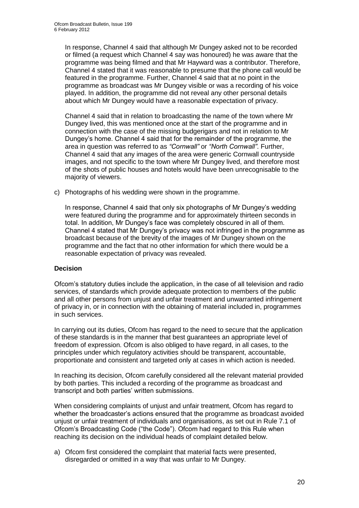In response, Channel 4 said that although Mr Dungey asked not to be recorded or filmed (a request which Channel 4 say was honoured) he was aware that the programme was being filmed and that Mr Hayward was a contributor. Therefore, Channel 4 stated that it was reasonable to presume that the phone call would be featured in the programme. Further, Channel 4 said that at no point in the programme as broadcast was Mr Dungey visible or was a recording of his voice played. In addition, the programme did not reveal any other personal details about which Mr Dungey would have a reasonable expectation of privacy.

Channel 4 said that in relation to broadcasting the name of the town where Mr Dungey lived, this was mentioned once at the start of the programme and in connection with the case of the missing budgerigars and not in relation to Mr Dungey's home. Channel 4 said that for the remainder of the programme, the area in question was referred to as *"Cornwall"* or *"North Cornwall"*. Further, Channel 4 said that any images of the area were generic Cornwall countryside images, and not specific to the town where Mr Dungey lived, and therefore most of the shots of public houses and hotels would have been unrecognisable to the majority of viewers.

c) Photographs of his wedding were shown in the programme.

In response, Channel 4 said that only six photographs of Mr Dungey's wedding were featured during the programme and for approximately thirteen seconds in total. In addition, Mr Dungey's face was completely obscured in all of them. Channel 4 stated that Mr Dungey's privacy was not infringed in the programme as broadcast because of the brevity of the images of Mr Dungey shown on the programme and the fact that no other information for which there would be a reasonable expectation of privacy was revealed.

### **Decision**

Ofcom's statutory duties include the application, in the case of all television and radio services, of standards which provide adequate protection to members of the public and all other persons from unjust and unfair treatment and unwarranted infringement of privacy in, or in connection with the obtaining of material included in, programmes in such services.

In carrying out its duties, Ofcom has regard to the need to secure that the application of these standards is in the manner that best guarantees an appropriate level of freedom of expression. Ofcom is also obliged to have regard, in all cases, to the principles under which regulatory activities should be transparent, accountable, proportionate and consistent and targeted only at cases in which action is needed.

In reaching its decision, Ofcom carefully considered all the relevant material provided by both parties. This included a recording of the programme as broadcast and transcript and both parties' written submissions.

When considering complaints of unjust and unfair treatment, Ofcom has regard to whether the broadcaster's actions ensured that the programme as broadcast avoided unjust or unfair treatment of individuals and organisations, as set out in Rule 7.1 of Ofcom's Broadcasting Code ("the Code"). Ofcom had regard to this Rule when reaching its decision on the individual heads of complaint detailed below.

a) Ofcom first considered the complaint that material facts were presented, disregarded or omitted in a way that was unfair to Mr Dungey.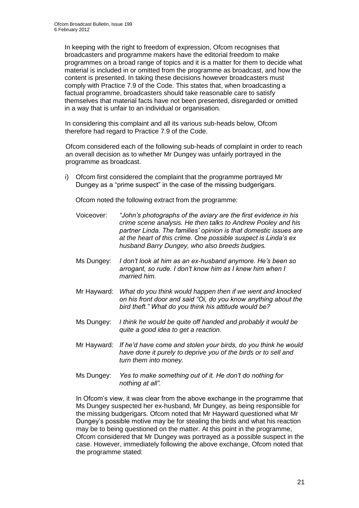In keeping with the right to freedom of expression, Ofcom recognises that broadcasters and programme makers have the editorial freedom to make programmes on a broad range of topics and it is a matter for them to decide what material is included in or omitted from the programme as broadcast, and how the content is presented. In taking these decisions however broadcasters must comply with Practice 7.9 of the Code. This states that, when broadcasting a factual programme, broadcasters should take reasonable care to satisfy themselves that material facts have not been presented, disregarded or omitted in a way that is unfair to an individual or organisation.

In considering this complaint and all its various sub-heads below, Ofcom therefore had regard to Practice 7.9 of the Code.

Ofcom considered each of the following sub-heads of complaint in order to reach an overall decision as to whether Mr Dungey was unfairly portrayed in the programme as broadcast.

i) Ofcom first considered the complaint that the programme portrayed Mr Dungey as a "prime suspect" in the case of the missing budgerigars.

Ofcom noted the following extract from the programme:

- Voiceover: *"John's photographs of the aviary are the first evidence in his crime scene analysis. He then talks to Andrew Pooley and his partner Linda. The families' opinion is that domestic issues are at the heart of this crime. One possible suspect is Linda's ex husband Barry Dungey, who also breeds budgies.*
- Ms Dungey: *I don't look at him as an ex-husband anymore. He's been so arrogant, so rude. I don't know him as I knew him when I married him.*
- Mr Hayward: *What do you think would happen then if we went and knocked on his front door and said "Oi, do you know anything about the bird theft." What do you think his attitude would be?*
- Ms Dungey: *I think he would be quite off handed and probably it would be quite a good idea to get a reaction.*
- Mr Hayward: *If he'd have come and stolen your birds, do you think he would have done it purely to deprive you of the birds or to sell and turn them into money.*
- Ms Dungey: *Yes to make something out of it. He don't do nothing for nothing at all".*

In Ofcom's view, it was clear from the above exchange in the programme that Ms Dungey suspected her ex-husband, Mr Dungey, as being responsible for the missing budgerigars. Ofcom noted that Mr Hayward questioned what Mr Dungey's possible motive may be for stealing the birds and what his reaction may be to being questioned on the matter. At this point in the programme, Ofcom considered that Mr Dungey was portrayed as a possible suspect in the case. However, immediately following the above exchange, Ofcom noted that the programme stated: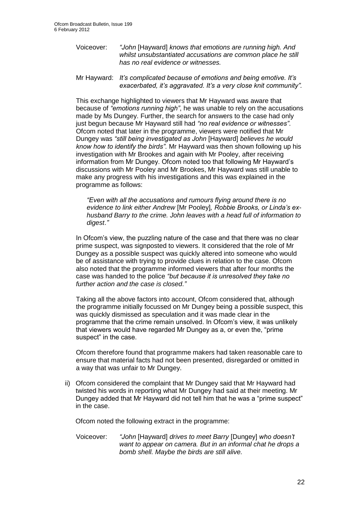Voiceover: *"John* [Hayward] *knows that emotions are running high. And whilst unsubstantiated accusations are common place he still has no real evidence or witnesses.*

Mr Hayward: *It's complicated because of emotions and being emotive. It's exacerbated, it's aggravated. It's a very close knit community".*

This exchange highlighted to viewers that Mr Hayward was aware that because of *"emotions running high"*, he was unable to rely on the accusations made by Ms Dungey. Further, the search for answers to the case had only just begun because Mr Hayward still had *"no real evidence or witnesses"*. Ofcom noted that later in the programme, viewers were notified that Mr Dungey was *"still being investigated as John* [Hayward] *believes he would know how to identify the birds"*. Mr Hayward was then shown following up his investigation with Mr Brookes and again with Mr Pooley, after receiving information from Mr Dungey. Ofcom noted too that following Mr Hayward's discussions with Mr Pooley and Mr Brookes, Mr Hayward was still unable to make any progress with his investigations and this was explained in the programme as follows:

*"Even with all the accusations and rumours flying around there is no evidence to link either Andrew* [Mr Pooley]*, Robbie Brooks, or Linda's exhusband Barry to the crime. John leaves with a head full of information to digest*.*"*

In Ofcom's view, the puzzling nature of the case and that there was no clear prime suspect, was signposted to viewers. It considered that the role of Mr Dungey as a possible suspect was quickly altered into someone who would be of assistance with trying to provide clues in relation to the case. Ofcom also noted that the programme informed viewers that after four months the case was handed to the police *"but because it is unresolved they take no further action and the case is closed*.*"*

Taking all the above factors into account, Ofcom considered that, although the programme initially focussed on Mr Dungey being a possible suspect, this was quickly dismissed as speculation and it was made clear in the programme that the crime remain unsolved. In Ofcom's view, it was unlikely that viewers would have regarded Mr Dungey as a, or even the, "prime suspect" in the case.

Ofcom therefore found that programme makers had taken reasonable care to ensure that material facts had not been presented, disregarded or omitted in a way that was unfair to Mr Dungey.

ii) Ofcom considered the complaint that Mr Dungey said that Mr Hayward had twisted his words in reporting what Mr Dungey had said at their meeting. Mr Dungey added that Mr Hayward did not tell him that he was a "prime suspect" in the case.

Ofcom noted the following extract in the programme:

Voiceover: *"John* [Hayward] *drives to meet Barry* [Dungey] *who doesn't want to appear on camera. But in an informal chat he drops a bomb shell. Maybe the birds are still alive.*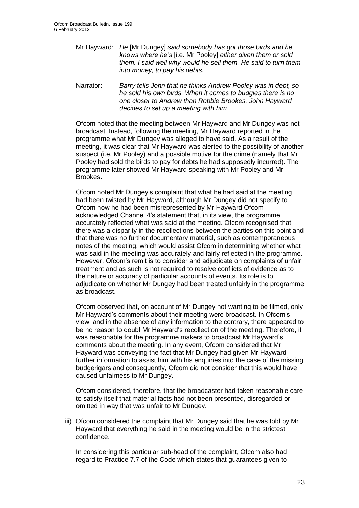- Mr Hayward: *He* [Mr Dungey] *said somebody has got those birds and he knows where he's* [i.e. Mr Pooley] *either given them or sold them. I said well why would he sell them. He said to turn them into money, to pay his debts.*
- Narrator: *Barry tells John that he thinks Andrew Pooley was in debt, so he sold his own birds. When it comes to budgies there is no one closer to Andrew than Robbie Brookes. John Hayward decides to set up a meeting with him".*

Ofcom noted that the meeting between Mr Hayward and Mr Dungey was not broadcast. Instead, following the meeting, Mr Hayward reported in the programme what Mr Dungey was alleged to have said. As a result of the meeting, it was clear that Mr Hayward was alerted to the possibility of another suspect (i.e. Mr Pooley) and a possible motive for the crime (namely that Mr Pooley had sold the birds to pay for debts he had supposedly incurred). The programme later showed Mr Hayward speaking with Mr Pooley and Mr Brookes.

Ofcom noted Mr Dungey's complaint that what he had said at the meeting had been twisted by Mr Hayward, although Mr Dungey did not specify to Ofcom how he had been misrepresented by Mr Hayward Ofcom acknowledged Channel 4's statement that, in its view, the programme accurately reflected what was said at the meeting. Ofcom recognised that there was a disparity in the recollections between the parties on this point and that there was no further documentary material, such as contemporaneous notes of the meeting, which would assist Ofcom in determining whether what was said in the meeting was accurately and fairly reflected in the programme. However, Ofcom's remit is to consider and adjudicate on complaints of unfair treatment and as such is not required to resolve conflicts of evidence as to the nature or accuracy of particular accounts of events. Its role is to adjudicate on whether Mr Dungey had been treated unfairly in the programme as broadcast.

Ofcom observed that, on account of Mr Dungey not wanting to be filmed, only Mr Hayward's comments about their meeting were broadcast. In Ofcom's view, and in the absence of any information to the contrary, there appeared to be no reason to doubt Mr Hayward's recollection of the meeting. Therefore, it was reasonable for the programme makers to broadcast Mr Hayward's comments about the meeting. In any event, Ofcom considered that Mr Hayward was conveying the fact that Mr Dungey had given Mr Hayward further information to assist him with his enquiries into the case of the missing budgerigars and consequently, Ofcom did not consider that this would have caused unfairness to Mr Dungey.

Ofcom considered, therefore, that the broadcaster had taken reasonable care to satisfy itself that material facts had not been presented, disregarded or omitted in way that was unfair to Mr Dungey.

iii) Ofcom considered the complaint that Mr Dungey said that he was told by Mr Hayward that everything he said in the meeting would be in the strictest confidence.

In considering this particular sub-head of the complaint, Ofcom also had regard to Practice 7.7 of the Code which states that guarantees given to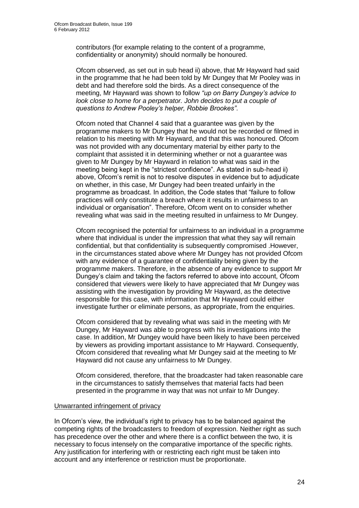contributors (for example relating to the content of a programme, confidentiality or anonymity) should normally be honoured.

Ofcom observed, as set out in sub head ii) above, that Mr Hayward had said in the programme that he had been told by Mr Dungey that Mr Pooley was in debt and had therefore sold the birds. As a direct consequence of the meeting, Mr Hayward was shown to follow *"up on Barry Dungey's advice to look close to home for a perpetrator. John decides to put a couple of questions to Andrew Pooley's helper, Robbie Brookes"*.

Ofcom noted that Channel 4 said that a guarantee was given by the programme makers to Mr Dungey that he would not be recorded or filmed in relation to his meeting with Mr Hayward, and that this was honoured. Ofcom was not provided with any documentary material by either party to the complaint that assisted it in determining whether or not a guarantee was given to Mr Dungey by Mr Hayward in relation to what was said in the meeting being kept in the "strictest confidence". As stated in sub-head ii) above, Ofcom's remit is not to resolve disputes in evidence but to adjudicate on whether, in this case, Mr Dungey had been treated unfairly in the programme as broadcast. In addition, the Code states that "failure to follow practices will only constitute a breach where it results in unfairness to an individual or organisation". Therefore, Ofcom went on to consider whether revealing what was said in the meeting resulted in unfairness to Mr Dungey.

Ofcom recognised the potential for unfairness to an individual in a programme where that individual is under the impression that what they say will remain confidential, but that confidentiality is subsequently compromised .However, in the circumstances stated above where Mr Dungey has not provided Ofcom with any evidence of a guarantee of confidentiality being given by the programme makers. Therefore, in the absence of any evidence to support Mr Dungey's claim and taking the factors referred to above into account, Ofcom considered that viewers were likely to have appreciated that Mr Dungey was assisting with the investigation by providing Mr Hayward, as the detective responsible for this case, with information that Mr Hayward could either investigate further or eliminate persons, as appropriate, from the enquiries.

Ofcom considered that by revealing what was said in the meeting with Mr Dungey, Mr Hayward was able to progress with his investigations into the case. In addition, Mr Dungey would have been likely to have been perceived by viewers as providing important assistance to Mr Hayward. Consequently, Ofcom considered that revealing what Mr Dungey said at the meeting to Mr Hayward did not cause any unfairness to Mr Dungey.

Ofcom considered, therefore, that the broadcaster had taken reasonable care in the circumstances to satisfy themselves that material facts had been presented in the programme in way that was not unfair to Mr Dungey.

#### Unwarranted infringement of privacy

In Ofcom's view, the individual's right to privacy has to be balanced against the competing rights of the broadcasters to freedom of expression. Neither right as such has precedence over the other and where there is a conflict between the two, it is necessary to focus intensely on the comparative importance of the specific rights. Any justification for interfering with or restricting each right must be taken into account and any interference or restriction must be proportionate.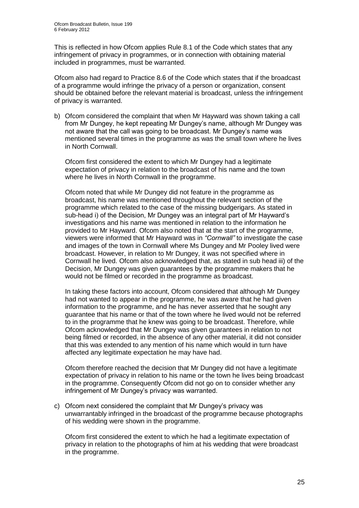This is reflected in how Ofcom applies Rule 8.1 of the Code which states that any infringement of privacy in programmes, or in connection with obtaining material included in programmes, must be warranted.

Ofcom also had regard to Practice 8.6 of the Code which states that if the broadcast of a programme would infringe the privacy of a person or organization, consent should be obtained before the relevant material is broadcast, unless the infringement of privacy is warranted.

b) Ofcom considered the complaint that when Mr Hayward was shown taking a call from Mr Dungey, he kept repeating Mr Dungey's name, although Mr Dungey was not aware that the call was going to be broadcast. Mr Dungey's name was mentioned several times in the programme as was the small town where he lives in North Cornwall.

Ofcom first considered the extent to which Mr Dungey had a legitimate expectation of privacy in relation to the broadcast of his name and the town where he lives in North Cornwall in the programme.

Ofcom noted that while Mr Dungey did not feature in the programme as broadcast, his name was mentioned throughout the relevant section of the programme which related to the case of the missing budgerigars. As stated in sub-head i) of the Decision, Mr Dungey was an integral part of Mr Hayward's investigations and his name was mentioned in relation to the information he provided to Mr Hayward. Ofcom also noted that at the start of the programme, viewers were informed that Mr Hayward was in *"Cornwall"* to investigate the case and images of the town in Cornwall where Ms Dungey and Mr Pooley lived were broadcast. However, in relation to Mr Dungey, it was not specified where in Cornwall he lived. Ofcom also acknowledged that, as stated in sub head iii) of the Decision, Mr Dungey was given guarantees by the programme makers that he would not be filmed or recorded in the programme as broadcast.

In taking these factors into account, Ofcom considered that although Mr Dungey had not wanted to appear in the programme, he was aware that he had given information to the programme, and he has never asserted that he sought any guarantee that his name or that of the town where he lived would not be referred to in the programme that he knew was going to be broadcast. Therefore, while Ofcom acknowledged that Mr Dungey was given guarantees in relation to not being filmed or recorded, in the absence of any other material, it did not consider that this was extended to any mention of his name which would in turn have affected any legitimate expectation he may have had.

Ofcom therefore reached the decision that Mr Dungey did not have a legitimate expectation of privacy in relation to his name or the town he lives being broadcast in the programme. Consequently Ofcom did not go on to consider whether any infringement of Mr Dungey's privacy was warranted.

c) Ofcom next considered the complaint that Mr Dungey's privacy was unwarrantably infringed in the broadcast of the programme because photographs of his wedding were shown in the programme.

Ofcom first considered the extent to which he had a legitimate expectation of privacy in relation to the photographs of him at his wedding that were broadcast in the programme.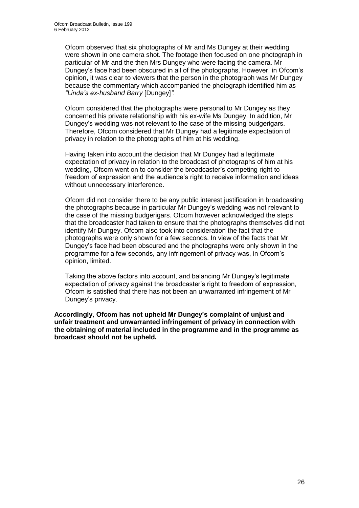Ofcom observed that six photographs of Mr and Ms Dungey at their wedding were shown in one camera shot. The footage then focused on one photograph in particular of Mr and the then Mrs Dungey who were facing the camera. Mr Dungey's face had been obscured in all of the photographs. However, in Ofcom's opinion, it was clear to viewers that the person in the photograph was Mr Dungey because the commentary which accompanied the photograph identified him as *"Linda's ex-husband Barry* [Dungey]*"*.

Ofcom considered that the photographs were personal to Mr Dungey as they concerned his private relationship with his ex-wife Ms Dungey. In addition, Mr Dungey's wedding was not relevant to the case of the missing budgerigars. Therefore, Ofcom considered that Mr Dungey had a legitimate expectation of privacy in relation to the photographs of him at his wedding.

Having taken into account the decision that Mr Dungey had a legitimate expectation of privacy in relation to the broadcast of photographs of him at his wedding, Ofcom went on to consider the broadcaster's competing right to freedom of expression and the audience's right to receive information and ideas without unnecessary interference.

Ofcom did not consider there to be any public interest justification in broadcasting the photographs because in particular Mr Dungey's wedding was not relevant to the case of the missing budgerigars. Ofcom however acknowledged the steps that the broadcaster had taken to ensure that the photographs themselves did not identify Mr Dungey. Ofcom also took into consideration the fact that the photographs were only shown for a few seconds. In view of the facts that Mr Dungey's face had been obscured and the photographs were only shown in the programme for a few seconds, any infringement of privacy was, in Ofcom's opinion, limited.

Taking the above factors into account, and balancing Mr Dungey's legitimate expectation of privacy against the broadcaster's right to freedom of expression, Ofcom is satisfied that there has not been an unwarranted infringement of Mr Dungey's privacy.

**Accordingly, Ofcom has not upheld Mr Dungey's complaint of unjust and unfair treatment and unwarranted infringement of privacy in connection with the obtaining of material included in the programme and in the programme as broadcast should not be upheld.**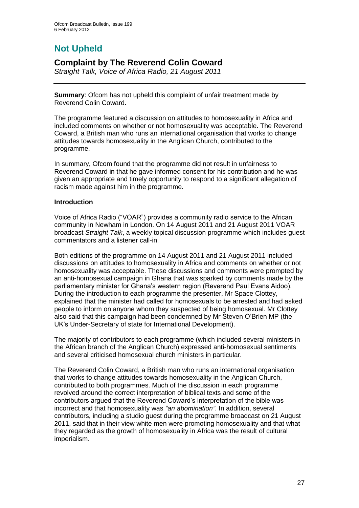# **Not Upheld**

### **Complaint by The Reverend Colin Coward**

*Straight Talk, Voice of Africa Radio, 21 August 2011*

**Summary**: Ofcom has not upheld this complaint of unfair treatment made by Reverend Colin Coward.

The programme featured a discussion on attitudes to homosexuality in Africa and included comments on whether or not homosexuality was acceptable. The Reverend Coward, a British man who runs an international organisation that works to change attitudes towards homosexuality in the Anglican Church, contributed to the programme.

In summary, Ofcom found that the programme did not result in unfairness to Reverend Coward in that he gave informed consent for his contribution and he was given an appropriate and timely opportunity to respond to a significant allegation of racism made against him in the programme.

### **Introduction**

Voice of Africa Radio ("VOAR") provides a community radio service to the African community in Newham in London. On 14 August 2011 and 21 August 2011 VOAR broadcast *Straight Talk*, a weekly topical discussion programme which includes guest commentators and a listener call-in.

Both editions of the programme on 14 August 2011 and 21 August 2011 included discussions on attitudes to homosexuality in Africa and comments on whether or not homosexuality was acceptable. These discussions and comments were prompted by an anti-homosexual campaign in Ghana that was sparked by comments made by the parliamentary minister for Ghana's western region (Reverend Paul Evans Aidoo). During the introduction to each programme the presenter, Mr Space Clottey, explained that the minister had called for homosexuals to be arrested and had asked people to inform on anyone whom they suspected of being homosexual. Mr Clottey also said that this campaign had been condemned by Mr Steven O'Brien MP (the UK's Under-Secretary of state for International Development).

The majority of contributors to each programme (which included several ministers in the African branch of the Anglican Church) expressed anti-homosexual sentiments and several criticised homosexual church ministers in particular.

The Reverend Colin Coward, a British man who runs an international organisation that works to change attitudes towards homosexuality in the Anglican Church, contributed to both programmes. Much of the discussion in each programme revolved around the correct interpretation of biblical texts and some of the contributors argued that the Reverend Coward's interpretation of the bible was incorrect and that homosexuality was *"an abomination"*. In addition, several contributors, including a studio guest during the programme broadcast on 21 August 2011, said that in their view white men were promoting homosexuality and that what they regarded as the growth of homosexuality in Africa was the result of cultural imperialism.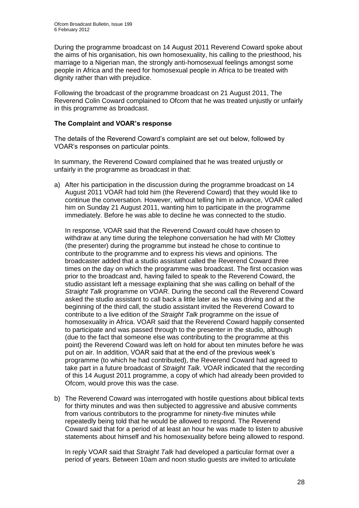During the programme broadcast on 14 August 2011 Reverend Coward spoke about the aims of his organisation, his own homosexuality, his calling to the priesthood, his marriage to a Nigerian man, the strongly anti-homosexual feelings amongst some people in Africa and the need for homosexual people in Africa to be treated with dignity rather than with prejudice.

Following the broadcast of the programme broadcast on 21 August 2011, The Reverend Colin Coward complained to Ofcom that he was treated unjustly or unfairly in this programme as broadcast.

### **The Complaint and VOAR's response**

The details of the Reverend Coward's complaint are set out below, followed by VOAR's responses on particular points.

In summary, the Reverend Coward complained that he was treated unjustly or unfairly in the programme as broadcast in that:

a) After his participation in the discussion during the programme broadcast on 14 August 2011 VOAR had told him (the Reverend Coward) that they would like to continue the conversation. However, without telling him in advance, VOAR called him on Sunday 21 August 2011, wanting him to participate in the programme immediately. Before he was able to decline he was connected to the studio.

In response, VOAR said that the Reverend Coward could have chosen to withdraw at any time during the telephone conversation he had with Mr Clottey (the presenter) during the programme but instead he chose to continue to contribute to the programme and to express his views and opinions. The broadcaster added that a studio assistant called the Reverend Coward three times on the day on which the programme was broadcast. The first occasion was prior to the broadcast and, having failed to speak to the Reverend Coward, the studio assistant left a message explaining that she was calling on behalf of the *Straight Talk* programme on VOAR. During the second call the Reverend Coward asked the studio assistant to call back a little later as he was driving and at the beginning of the third call, the studio assistant invited the Reverend Coward to contribute to a live edition of the *Straight Talk* programme on the issue of homosexuality in Africa. VOAR said that the Reverend Coward happily consented to participate and was passed through to the presenter in the studio, although (due to the fact that someone else was contributing to the programme at this point) the Reverend Coward was left on hold for about ten minutes before he was put on air. In addition, VOAR said that at the end of the previous week's programme (to which he had contributed), the Reverend Coward had agreed to take part in a future broadcast of *Straight Talk*. VOAR indicated that the recording of this 14 August 2011 programme, a copy of which had already been provided to Ofcom, would prove this was the case.

b) The Reverend Coward was interrogated with hostile questions about biblical texts for thirty minutes and was then subjected to aggressive and abusive comments from various contributors to the programme for ninety-five minutes while repeatedly being told that he would be allowed to respond. The Reverend Coward said that for a period of at least an hour he was made to listen to abusive statements about himself and his homosexuality before being allowed to respond.

In reply VOAR said that *Straight Talk* had developed a particular format over a period of years. Between 10am and noon studio guests are invited to articulate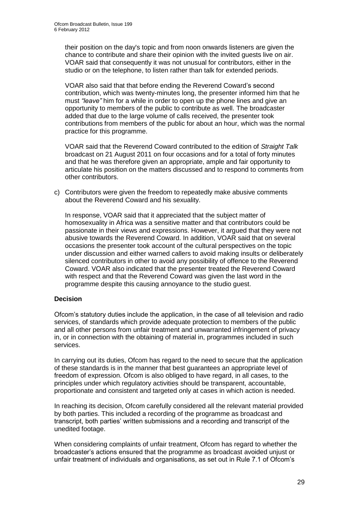their position on the day's topic and from noon onwards listeners are given the chance to contribute and share their opinion with the invited guests live on air. VOAR said that consequently it was not unusual for contributors, either in the studio or on the telephone, to listen rather than talk for extended periods.

VOAR also said that that before ending the Reverend Coward's second contribution, which was twenty-minutes long, the presenter informed him that he must *"leave"* him for a while in order to open up the phone lines and give an opportunity to members of the public to contribute as well. The broadcaster added that due to the large volume of calls received, the presenter took contributions from members of the public for about an hour, which was the normal practice for this programme.

VOAR said that the Reverend Coward contributed to the edition of *Straight Talk* broadcast on 21 August 2011 on four occasions and for a total of forty minutes and that he was therefore given an appropriate, ample and fair opportunity to articulate his position on the matters discussed and to respond to comments from other contributors.

c) Contributors were given the freedom to repeatedly make abusive comments about the Reverend Coward and his sexuality.

In response, VOAR said that it appreciated that the subject matter of homosexuality in Africa was a sensitive matter and that contributors could be passionate in their views and expressions. However, it argued that they were not abusive towards the Reverend Coward. In addition, VOAR said that on several occasions the presenter took account of the cultural perspectives on the topic under discussion and either warned callers to avoid making insults or deliberately silenced contributors in other to avoid any possibility of offence to the Reverend Coward. VOAR also indicated that the presenter treated the Reverend Coward with respect and that the Reverend Coward was given the last word in the programme despite this causing annoyance to the studio guest.

### **Decision**

Ofcom's statutory duties include the application, in the case of all television and radio services, of standards which provide adequate protection to members of the public and all other persons from unfair treatment and unwarranted infringement of privacy in, or in connection with the obtaining of material in, programmes included in such services.

In carrying out its duties, Ofcom has regard to the need to secure that the application of these standards is in the manner that best guarantees an appropriate level of freedom of expression. Ofcom is also obliged to have regard, in all cases, to the principles under which regulatory activities should be transparent, accountable, proportionate and consistent and targeted only at cases in which action is needed.

In reaching its decision, Ofcom carefully considered all the relevant material provided by both parties. This included a recording of the programme as broadcast and transcript, both parties' written submissions and a recording and transcript of the unedited footage.

When considering complaints of unfair treatment, Ofcom has regard to whether the broadcaster's actions ensured that the programme as broadcast avoided unjust or unfair treatment of individuals and organisations, as set out in Rule 7.1 of Ofcom's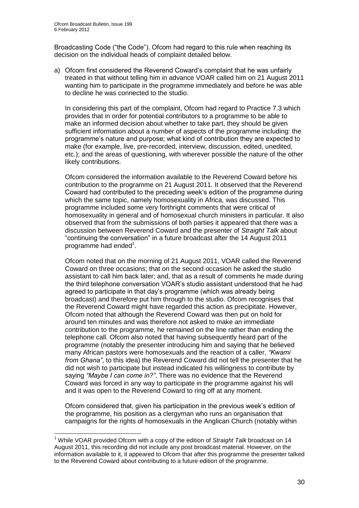1

Broadcasting Code ("the Code"). Ofcom had regard to this rule when reaching its decision on the individual heads of complaint detailed below.

a) Ofcom first considered the Reverend Coward's complaint that he was unfairly treated in that without telling him in advance VOAR called him on 21 August 2011 wanting him to participate in the programme immediately and before he was able to decline he was connected to the studio.

In considering this part of the complaint, Ofcom had regard to Practice 7.3 which provides that in order for potential contributors to a programme to be able to make an informed decision about whether to take part, they should be given sufficient information about a number of aspects of the programme including: the programme's nature and purpose; what kind of contribution they are expected to make (for example, live, pre-recorded, interview, discussion, edited, unedited, etc.); and the areas of questioning, with wherever possible the nature of the other likely contributions.

Ofcom considered the information available to the Reverend Coward before his contribution to the programme on 21 August 2011. It observed that the Reverend Coward had contributed to the preceding week's edition of the programme during which the same topic, namely homosexuality in Africa, was discussed. This programme included some very forthright comments that were critical of homosexuality in general and of homosexual church ministers in particular. It also observed that from the submissions of both parties it appeared that there was a discussion between Reverend Coward and the presenter of *Straight Talk* about "continuing the conversation" in a future broadcast after the 14 August 2011 programme had ended<sup>1</sup>.

Ofcom noted that on the morning of 21 August 2011, VOAR called the Reverend Coward on three occasions; that on the second occasion he asked the studio assistant to call him back later; and, that as a result of comments he made during the third telephone conversation VOAR's studio assistant understood that he had agreed to participate in that day's programme (which was already being broadcast) and therefore put him through to the studio. Ofcom recognises that the Reverend Coward might have regarded this action as precipitate. However, Ofcom noted that although the Reverend Coward was then put on hold for around ten minutes and was therefore not asked to make an immediate contribution to the programme, he remained on the line rather than ending the telephone call. Ofcom also noted that having subsequently heard part of the programme (notably the presenter introducing him and saying that he believed many African pastors were homosexuals and the reaction of a caller, *"Kwami from Ghana"*, to this idea) the Reverend Coward did not tell the presenter that he did not wish to participate but instead indicated his willingness to contribute by saying *"Maybe I can come in?"*. There was no evidence that the Reverend Coward was forced in any way to participate in the programme against his will and it was open to the Reverend Coward to ring off at any moment.

Ofcom considered that, given his participation in the previous week's edition of the programme, his position as a clergyman who runs an organisation that campaigns for the rights of homosexuals in the Anglican Church (notably within

<sup>1</sup> While VOAR provided Ofcom with a copy of the edition of *Straight Talk* broadcast on 14 August 2011, this recording did not include any post broadcast material. However, on the information available to it, it appeared to Ofcom that after this programme the presenter talked to the Reverend Coward about contributing to a future edition of the programme.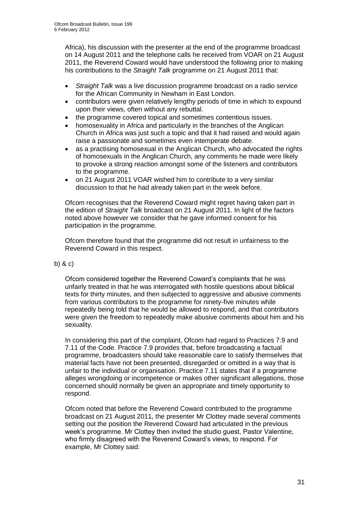Africa), his discussion with the presenter at the end of the programme broadcast on 14 August 2011 and the telephone calls he received from VOAR on 21 August 2011, the Reverend Coward would have understood the following prior to making his contributions to the *Straight Talk* programme on 21 August 2011 that:

- *Straight Talk* was a live discussion programme broadcast on a radio service for the African Community in Newham in East London.
- contributors were given relatively lengthy periods of time in which to expound upon their views, often without any rebuttal.
- the programme covered topical and sometimes contentious issues.
- homosexuality in Africa and particularly in the branches of the Anglican Church in Africa was just such a topic and that it had raised and would again raise a passionate and sometimes even intemperate debate.
- as a practising homosexual in the Anglican Church, who advocated the rights of homosexuals in the Anglican Church, any comments he made were likely to provoke a strong reaction amongst some of the listeners and contributors to the programme.
- on 21 August 2011 VOAR wished him to contribute to a very similar discussion to that he had already taken part in the week before.

Ofcom recognises that the Reverend Coward might regret having taken part in the edition of *Straight Talk* broadcast on 21 August 2011. In light of the factors noted above however we consider that he gave informed consent for his participation in the programme.

Ofcom therefore found that the programme did not result in unfairness to the Reverend Coward in this respect.

### b) & c)

Ofcom considered together the Reverend Coward's complaints that he was unfairly treated in that he was interrogated with hostile questions about biblical texts for thirty minutes, and then subjected to aggressive and abusive comments from various contributors to the programme for ninety-five minutes while repeatedly being told that he would be allowed to respond, and that contributors were given the freedom to repeatedly make abusive comments about him and his sexuality.

In considering this part of the complaint, Ofcom had regard to Practices 7.9 and 7.11 of the Code. Practice 7.9 provides that, before broadcasting a factual programme, broadcasters should take reasonable care to satisfy themselves that material facts have not been presented, disregarded or omitted in a way that is unfair to the individual or organisation. Practice 7.11 states that if a programme alleges wrongdoing or incompetence or makes other significant allegations, those concerned should normally be given an appropriate and timely opportunity to respond.

Ofcom noted that before the Reverend Coward contributed to the programme broadcast on 21 August 2011, the presenter Mr Clottey made several comments setting out the position the Reverend Coward had articulated in the previous week's programme. Mr Clottey then invited the studio guest, Pastor Valentine, who firmly disagreed with the Reverend Coward's views, to respond. For example, Mr Clottey said*:*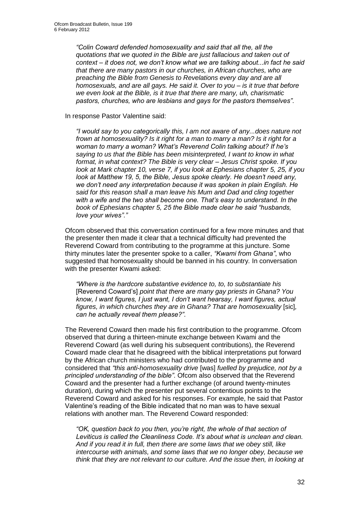*"Colin Coward defended homosexuality and said that all the, all the quotations that we quoted in the Bible are just fallacious and taken out of context – it does not, we don't know what we are talking about...in fact he said that there are many pastors in our churches, in African churches, who are preaching the Bible from Genesis to Revelations every day and are all homosexuals, and are all gays. He said it. Over to you – is it true that before we even look at the Bible, is it true that there are many, uh, charismatic pastors, churches, who are lesbians and gays for the pastors themselves"*.

In response Pastor Valentine said:

*"I would say to you categorically this, I am not aware of any...does nature not frown at homosexuality? Is it right for a man to marry a man? Is it right for a woman to marry a woman? What's Reverend Colin talking about? If he's saying to us that the Bible has been misinterpreted, I want to know in what format, in what context? The Bible is very clear – Jesus Christ spoke. If you look at Mark chapter 10, verse 7, if you look at Ephesians chapter 5, 25, if you look at Matthew 19, 5, the Bible, Jesus spoke clearly. He doesn't need any, we don't need any interpretation because it was spoken in plain English. He said for this reason shall a man leave his Mum and Dad and cling together with a wife and the two shall become one. That's easy to understand. In the book of Ephesians chapter 5, 25 the Bible made clear he said "husbands, love your wives"*.*"*

Ofcom observed that this conversation continued for a few more minutes and that the presenter then made it clear that a technical difficulty had prevented the Reverend Coward from contributing to the programme at this juncture. Some thirty minutes later the presenter spoke to a caller, *"Kwami from Ghana"*, who suggested that homosexuality should be banned in his country*.* In conversation with the presenter Kwami asked:

*"Where is the hardcore substantive evidence to, to, to substantiate his*  [Reverend Coward's] *point that there are many gay priests in Ghana? You know, I want figures, I just want, I don't want hearsay, I want figures, actual*  figures, in which churches they are in Ghana? That are homosexuality [sic], *can he actually reveal them please?"*.

The Reverend Coward then made his first contribution to the programme. Ofcom observed that during a thirteen-minute exchange between Kwami and the Reverend Coward (as well during his subsequent contributions), the Reverend Coward made clear that he disagreed with the biblical interpretations put forward by the African church ministers who had contributed to the programme and considered that *"this anti-homosexuality drive* [was] *fuelled by prejudice, not by a principled understanding of the bible"*. Ofcom also observed that the Reverend Coward and the presenter had a further exchange (of around twenty-minutes duration), during which the presenter put several contentious points to the Reverend Coward and asked for his responses. For example, he said that Pastor Valentine's reading of the Bible indicated that no man was to have sexual relations with another man. The Reverend Coward responded:

*"OK, question back to you then, you're right, the whole of that section of Leviticus is called the Cleanliness Code. It's about what is unclean and clean. And if you read it in full, then there are some laws that we obey still, like intercourse with animals, and some laws that we no longer obey, because we think that they are not relevant to our culture. And the issue then, in looking at*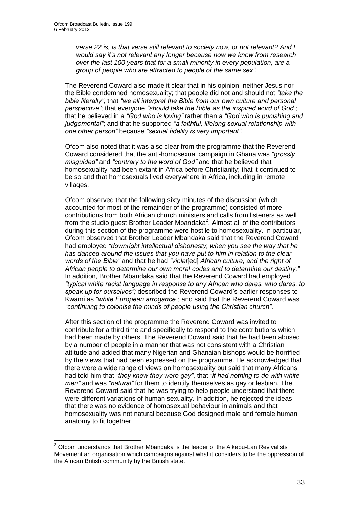1

*verse 22 is, is that verse still relevant to society now, or not relevant? And I would say it's not relevant any longer because now we know from research over the last 100 years that for a small minority in every population, are a group of people who are attracted to people of the same sex"*.

The Reverend Coward also made it clear that in his opinion: neither Jesus nor the Bible condemned homosexuality; that people did not and should not *"take the bible literally";* that *"we all interpret the Bible from our own culture and personal perspective"*; that everyone *"should take the Bible as the inspired word of God"*; that he believed in a *"God who is loving"* rather than a *"God who is punishing and judgemental"*; and that he supported *"a faithful, lifelong sexual relationship with one other person"* because *"sexual fidelity is very important"*.

Ofcom also noted that it was also clear from the programme that the Reverend Coward considered that the anti-homosexual campaign in Ghana was *"grossly misguided"* and *"contrary to the word of God"* and that he believed that homosexuality had been extant in Africa before Christianity; that it continued to be so and that homosexuals lived everywhere in Africa, including in remote villages.

Ofcom observed that the following sixty minutes of the discussion (which accounted for most of the remainder of the programme) consisted of more contributions from both African church ministers and calls from listeners as well from the studio guest Brother Leader Mbandaka<sup>2</sup>. Almost all of the contributors during this section of the programme were hostile to homosexuality. In particular, Ofcom observed that Brother Leader Mbandaka said that the Reverend Coward had employed *"downright intellectual dishonesty, when you see the way that he has danced around the issues that you have put to him in relation to the clear words of the Bible"* and that he had *"violat*[ed] *African culture, and the right of African people to determine our own moral codes and to determine our destiny."*  In addition, Brother Mbandaka said that the Reverend Coward had employed *"typical white racist language in response to any African who dares, who dares, to speak up for ourselves";* described the Reverend Coward's earlier responses to Kwami as *"white European arrogance"*; and said that the Reverend Coward was *"continuing to colonise the minds of people using the Christian church"*.

After this section of the programme the Reverend Coward was invited to contribute for a third time and specifically to respond to the contributions which had been made by others. The Reverend Coward said that he had been abused by a number of people in a manner that was not consistent with a Christian attitude and added that many Nigerian and Ghanaian bishops would be horrified by the views that had been expressed on the programme. He acknowledged that there were a wide range of views on homosexuality but said that many Africans had told him that *"they knew they were gay"*, that *"it had nothing to do with white men"* and was *"natural"* for them to identify themselves as gay or lesbian. The Reverend Coward said that he was trying to help people understand that there were different variations of human sexuality. In addition, he rejected the ideas that there was no evidence of homosexual behaviour in animals and that homosexuality was not natural because God designed male and female human anatomy to fit together.

 $2$  Ofcom understands that Brother Mbandaka is the leader of the Alkebu-Lan Revivalists Movement an organisation which campaigns against what it considers to be the oppression of the African British community by the British state.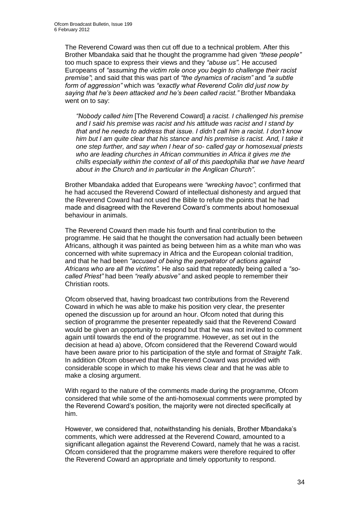The Reverend Coward was then cut off due to a technical problem. After this Brother Mbandaka said that he thought the programme had given *"these people"* too much space to express their views and they *"abuse us"*. He accused Europeans of *"assuming the victim role once you begin to challenge their racist premise"*; and said that this was part of *"the dynamics of racism"* and *"a subtle form of aggression"* which was *"exactly what Reverend Colin did just now by saying that he's been attacked and he's been called racist."* Brother Mbandaka went on to say:

*"Nobody called him* [The Reverend Coward] *a racist. I challenged his premise and I said his premise was racist and his attitude was racist and I stand by that and he needs to address that issue. I didn't call him a racist. I don't know him but I am quite clear that his stance and his premise is racist. And, I take it one step further, and say when I hear of so- called gay or homosexual priests who are leading churches in African communities in Africa it gives me the chills especially within the context of all of this paedophilia that we have heard about in the Church and in particular in the Anglican Church"*.

Brother Mbandaka added that Europeans were *"wrecking havoc"*; confirmed that he had accused the Reverend Coward of intellectual dishonesty and argued that the Reverend Coward had not used the Bible to refute the points that he had made and disagreed with the Reverend Coward's comments about homosexual behaviour in animals.

The Reverend Coward then made his fourth and final contribution to the programme. He said that he thought the conversation had actually been between Africans, although it was painted as being between him as a white man who was concerned with white supremacy in Africa and the European colonial tradition, and that he had been *"accused of being the perpetrator of actions against Africans who are all the victims".* He also said that repeatedly being called a *"socalled Priest"* had been *"really abusive"* and asked people to remember their Christian roots.

Ofcom observed that, having broadcast two contributions from the Reverend Coward in which he was able to make his position very clear, the presenter opened the discussion up for around an hour. Ofcom noted that during this section of programme the presenter repeatedly said that the Reverend Coward would be given an opportunity to respond but that he was not invited to comment again until towards the end of the programme. However, as set out in the decision at head a) above, Ofcom considered that the Reverend Coward would have been aware prior to his participation of the style and format of *Straight Talk*. In addition Ofcom observed that the Reverend Coward was provided with considerable scope in which to make his views clear and that he was able to make a closing argument.

With regard to the nature of the comments made during the programme, Ofcom considered that while some of the anti-homosexual comments were prompted by the Reverend Coward's position, the majority were not directed specifically at him.

However, we considered that, notwithstanding his denials, Brother Mbandaka's comments, which were addressed at the Reverend Coward, amounted to a significant allegation against the Reverend Coward, namely that he was a racist. Ofcom considered that the programme makers were therefore required to offer the Reverend Coward an appropriate and timely opportunity to respond.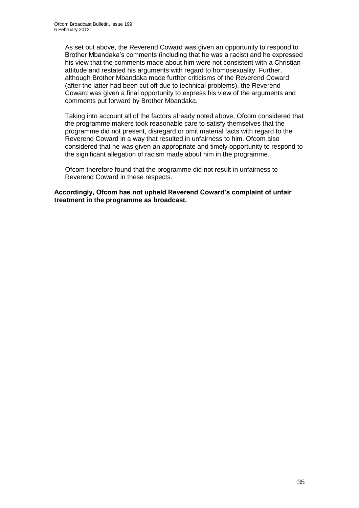As set out above, the Reverend Coward was given an opportunity to respond to Brother Mbandaka's comments (including that he was a racist) and he expressed his view that the comments made about him were not consistent with a Christian attitude and restated his arguments with regard to homosexuality. Further, although Brother Mbandaka made further criticisms of the Reverend Coward (after the latter had been cut off due to technical problems), the Reverend Coward was given a final opportunity to express his view of the arguments and comments put forward by Brother Mbandaka.

Taking into account all of the factors already noted above, Ofcom considered that the programme makers took reasonable care to satisfy themselves that the programme did not present, disregard or omit material facts with regard to the Reverend Coward in a way that resulted in unfairness to him. Ofcom also considered that he was given an appropriate and timely opportunity to respond to the significant allegation of racism made about him in the programme.

Ofcom therefore found that the programme did not result in unfairness to Reverend Coward in these respects.

**Accordingly, Ofcom has not upheld Reverend Coward's complaint of unfair treatment in the programme as broadcast.**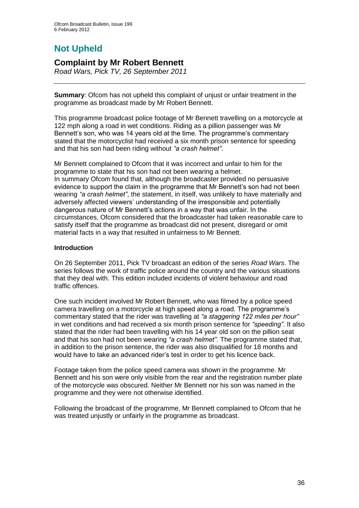# **Not Upheld**

### **Complaint by Mr Robert Bennett**

*Road Wars, Pick TV, 26 September 2011*

**Summary**: Ofcom has not upheld this complaint of unjust or unfair treatment in the programme as broadcast made by Mr Robert Bennett.

This programme broadcast police footage of Mr Bennett travelling on a motorcycle at 122 mph along a road in wet conditions. Riding as a pillion passenger was Mr Bennett's son, who was 14 years old at the time. The programme's commentary stated that the motorcyclist had received a six month prison sentence for speeding and that his son had been riding without *"a crash helmet"*.

Mr Bennett complained to Ofcom that it was incorrect and unfair to him for the programme to state that his son had not been wearing a helmet. In summary Ofcom found that, although the broadcaster provided no persuasive evidence to support the claim in the programme that Mr Bennett's son had not been wearing *"a crash helmet"*, the statement, in itself, was unlikely to have materially and adversely affected viewers' understanding of the irresponsible and potentially dangerous nature of Mr Bennett's actions in a way that was unfair. In the circumstances, Ofcom considered that the broadcaster had taken reasonable care to satisfy itself that the programme as broadcast did not present, disregard or omit material facts in a way that resulted in unfairness to Mr Bennett.

### **Introduction**

On 26 September 2011, Pick TV broadcast an edition of the series *Road Wars*. The series follows the work of traffic police around the country and the various situations that they deal with. This edition included incidents of violent behaviour and road traffic offences.

One such incident involved Mr Robert Bennett, who was filmed by a police speed camera travelling on a motorcycle at high speed along a road. The programme's commentary stated that the rider was travelling at *"a staggering 122 miles per hour"*  in wet conditions and had received a six month prison sentence for *"speeding"*. It also stated that the rider had been travelling with his 14 year old son on the pillion seat and that his son had not been wearing *"a crash helmet"*. The programme stated that, in addition to the prison sentence, the rider was also disqualified for 18 months and would have to take an advanced rider's test in order to get his licence back.

Footage taken from the police speed camera was shown in the programme. Mr Bennett and his son were only visible from the rear and the registration number plate of the motorcycle was obscured. Neither Mr Bennett nor his son was named in the programme and they were not otherwise identified.

Following the broadcast of the programme, Mr Bennett complained to Ofcom that he was treated unjustly or unfairly in the programme as broadcast.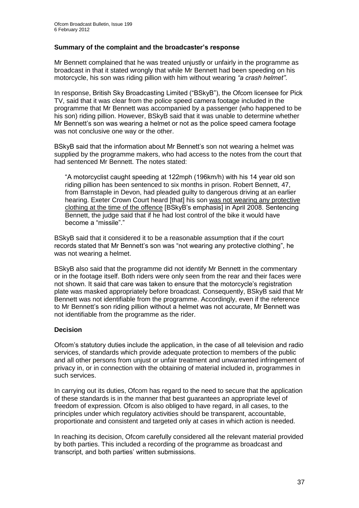### **Summary of the complaint and the broadcaster's response**

Mr Bennett complained that he was treated unjustly or unfairly in the programme as broadcast in that it stated wrongly that while Mr Bennett had been speeding on his motorcycle, his son was riding pillion with him without wearing *"a crash helmet"*.

In response, British Sky Broadcasting Limited ("BSkyB"), the Ofcom licensee for Pick TV, said that it was clear from the police speed camera footage included in the programme that Mr Bennett was accompanied by a passenger (who happened to be his son) riding pillion. However, BSkyB said that it was unable to determine whether Mr Bennett's son was wearing a helmet or not as the police speed camera footage was not conclusive one way or the other.

BSkyB said that the information about Mr Bennett's son not wearing a helmet was supplied by the programme makers, who had access to the notes from the court that had sentenced Mr Bennett. The notes stated:

"A motorcyclist caught speeding at 122mph (196km/h) with his 14 year old son riding pillion has been sentenced to six months in prison. Robert Bennett, 47, from Barnstaple in Devon, had pleaded guilty to dangerous driving at an earlier hearing. Exeter Crown Court heard [that] his son was not wearing any protective clothing at the time of the offence [BSkyB's emphasis] in April 2008. Sentencing Bennett, the judge said that if he had lost control of the bike it would have become a "missile"."

BSkyB said that it considered it to be a reasonable assumption that if the court records stated that Mr Bennett's son was "not wearing any protective clothing", he was not wearing a helmet.

BSkyB also said that the programme did not identify Mr Bennett in the commentary or in the footage itself. Both riders were only seen from the rear and their faces were not shown. It said that care was taken to ensure that the motorcycle's registration plate was masked appropriately before broadcast. Consequently, BSkyB said that Mr Bennett was not identifiable from the programme. Accordingly, even if the reference to Mr Bennett's son riding pillion without a helmet was not accurate, Mr Bennett was not identifiable from the programme as the rider.

### **Decision**

Ofcom's statutory duties include the application, in the case of all television and radio services, of standards which provide adequate protection to members of the public and all other persons from unjust or unfair treatment and unwarranted infringement of privacy in, or in connection with the obtaining of material included in, programmes in such services.

In carrying out its duties, Ofcom has regard to the need to secure that the application of these standards is in the manner that best guarantees an appropriate level of freedom of expression. Ofcom is also obliged to have regard, in all cases, to the principles under which regulatory activities should be transparent, accountable, proportionate and consistent and targeted only at cases in which action is needed.

In reaching its decision, Ofcom carefully considered all the relevant material provided by both parties. This included a recording of the programme as broadcast and transcript, and both parties' written submissions.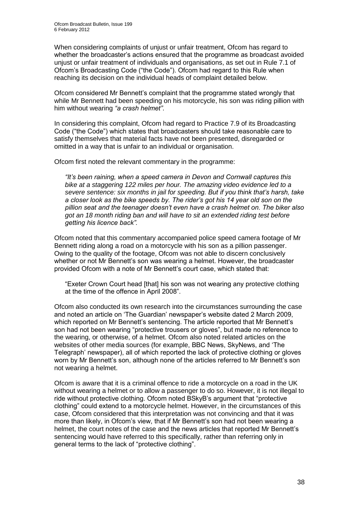When considering complaints of unjust or unfair treatment, Ofcom has regard to whether the broadcaster's actions ensured that the programme as broadcast avoided unjust or unfair treatment of individuals and organisations, as set out in Rule 7.1 of Ofcom's Broadcasting Code ("the Code"). Ofcom had regard to this Rule when reaching its decision on the individual heads of complaint detailed below.

Ofcom considered Mr Bennett's complaint that the programme stated wrongly that while Mr Bennett had been speeding on his motorcycle, his son was riding pillion with him without wearing *"a crash helmet"*.

In considering this complaint, Ofcom had regard to Practice 7.9 of its Broadcasting Code ("the Code") which states that broadcasters should take reasonable care to satisfy themselves that material facts have not been presented, disregarded or omitted in a way that is unfair to an individual or organisation.

Ofcom first noted the relevant commentary in the programme:

*"It's been raining, when a speed camera in Devon and Cornwall captures this bike at a staggering 122 miles per hour. The amazing video evidence led to a severe sentence: six months in jail for speeding. But if you think that's harsh, take a closer look as the bike speeds by. The rider's got his 14 year old son on the pillion seat and the teenager doesn't even have a crash helmet on. The biker also got an 18 month riding ban and will have to sit an extended riding test before getting his licence back".*

Ofcom noted that this commentary accompanied police speed camera footage of Mr Bennett riding along a road on a motorcycle with his son as a pillion passenger. Owing to the quality of the footage, Ofcom was not able to discern conclusively whether or not Mr Bennett's son was wearing a helmet. However, the broadcaster provided Ofcom with a note of Mr Bennett's court case, which stated that:

"Exeter Crown Court head [that] his son was not wearing any protective clothing at the time of the offence in April 2008".

Ofcom also conducted its own research into the circumstances surrounding the case and noted an article on 'The Guardian' newspaper's website dated 2 March 2009, which reported on Mr Bennett's sentencing. The article reported that Mr Bennett's son had not been wearing "protective trousers or gloves", but made no reference to the wearing, or otherwise, of a helmet. Ofcom also noted related articles on the websites of other media sources (for example, BBC News, SkyNews, and 'The Telegraph' newspaper), all of which reported the lack of protective clothing or gloves worn by Mr Bennett's son, although none of the articles referred to Mr Bennett's son not wearing a helmet.

Ofcom is aware that it is a criminal offence to ride a motorcycle on a road in the UK without wearing a helmet or to allow a passenger to do so. However, it is not illegal to ride without protective clothing. Ofcom noted BSkyB's argument that "protective clothing" could extend to a motorcycle helmet. However, in the circumstances of this case, Ofcom considered that this interpretation was not convincing and that it was more than likely, in Ofcom's view, that if Mr Bennett's son had not been wearing a helmet, the court notes of the case and the news articles that reported Mr Bennett's sentencing would have referred to this specifically, rather than referring only in general terms to the lack of "protective clothing".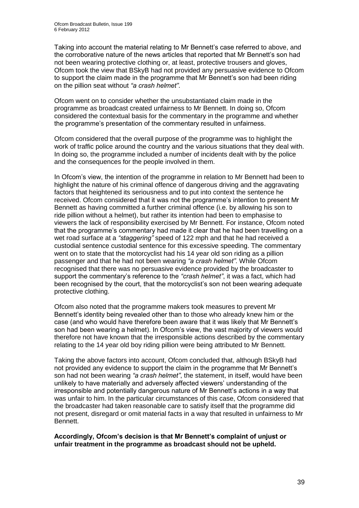Taking into account the material relating to Mr Bennett's case referred to above, and the corroborative nature of the news articles that reported that Mr Bennett's son had not been wearing protective clothing or, at least, protective trousers and gloves, Ofcom took the view that BSkyB had not provided any persuasive evidence to Ofcom to support the claim made in the programme that Mr Bennett's son had been riding on the pillion seat without *"a crash helmet"*.

Ofcom went on to consider whether the unsubstantiated claim made in the programme as broadcast created unfairness to Mr Bennett. In doing so, Ofcom considered the contextual basis for the commentary in the programme and whether the programme's presentation of the commentary resulted in unfairness.

Ofcom considered that the overall purpose of the programme was to highlight the work of traffic police around the country and the various situations that they deal with. In doing so, the programme included a number of incidents dealt with by the police and the consequences for the people involved in them.

In Ofcom's view, the intention of the programme in relation to Mr Bennett had been to highlight the nature of his criminal offence of dangerous driving and the aggravating factors that heightened its seriousness and to put into context the sentence he received. Ofcom considered that it was not the programme's intention to present Mr Bennett as having committed a further criminal offence (i.e. by allowing his son to ride pillion without a helmet), but rather its intention had been to emphasise to viewers the lack of responsibility exercised by Mr Bennett. For instance, Ofcom noted that the programme's commentary had made it clear that he had been travelling on a wet road surface at a *"staggering"* speed of 122 mph and that he had received a custodial sentence custodial sentence for this excessive speeding. The commentary went on to state that the motorcyclist had his 14 year old son riding as a pillion passenger and that he had not been wearing *"a crash helmet"*. While Ofcom recognised that there was no persuasive evidence provided by the broadcaster to support the commentary's reference to the *"crash helmet"*, it was a fact, which had been recognised by the court, that the motorcyclist's son not been wearing adequate protective clothing.

Ofcom also noted that the programme makers took measures to prevent Mr Bennett's identity being revealed other than to those who already knew him or the case (and who would have therefore been aware that it was likely that Mr Bennett's son had been wearing a helmet). In Ofcom's view, the vast majority of viewers would therefore not have known that the irresponsible actions described by the commentary relating to the 14 year old boy riding pillion were being attributed to Mr Bennett.

Taking the above factors into account, Ofcom concluded that, although BSkyB had not provided any evidence to support the claim in the programme that Mr Bennett's son had not been wearing *"a crash helmet"*, the statement, in itself, would have been unlikely to have materially and adversely affected viewers' understanding of the irresponsible and potentially dangerous nature of Mr Bennett's actions in a way that was unfair to him. In the particular circumstances of this case, Ofcom considered that the broadcaster had taken reasonable care to satisfy itself that the programme did not present, disregard or omit material facts in a way that resulted in unfairness to Mr Bennett.

**Accordingly, Ofcom's decision is that Mr Bennett's complaint of unjust or unfair treatment in the programme as broadcast should not be upheld.**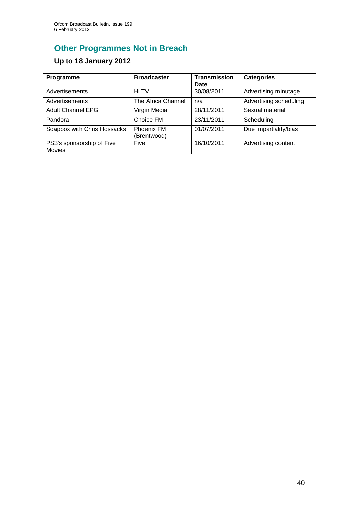# **Other Programmes Not in Breach**

### **Up to 18 January 2012**

| Programme                                  | <b>Broadcaster</b>               | <b>Transmission</b><br>Date | <b>Categories</b>      |
|--------------------------------------------|----------------------------------|-----------------------------|------------------------|
| Advertisements                             | Hi TV                            | 30/08/2011                  | Advertising minutage   |
| Advertisements                             | The Africa Channel               | n/a                         | Advertising scheduling |
| <b>Adult Channel EPG</b>                   | Virgin Media                     | 28/11/2011                  | Sexual material        |
| Pandora                                    | Choice FM                        | 23/11/2011                  | Scheduling             |
| Soapbox with Chris Hossacks                | <b>Phoenix FM</b><br>(Brentwood) | 01/07/2011                  | Due impartiality/bias  |
| PS3's sponsorship of Five<br><b>Movies</b> | Five                             | 16/10/2011                  | Advertising content    |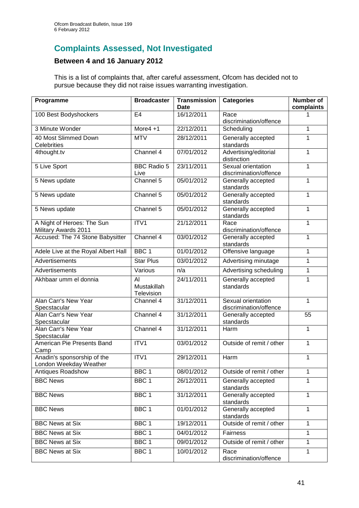### **Complaints Assessed, Not Investigated**

### **Between 4 and 16 January 2012**

This is a list of complaints that, after careful assessment, Ofcom has decided not to pursue because they did not raise issues warranting investigation.

| Programme                                             | <b>Broadcaster</b>              | <b>Transmission</b><br>Date | <b>Categories</b>                            | <b>Number of</b><br>complaints |
|-------------------------------------------------------|---------------------------------|-----------------------------|----------------------------------------------|--------------------------------|
| 100 Best Bodyshockers                                 | E <sub>4</sub>                  | 16/12/2011                  | Race<br>discrimination/offence               |                                |
| 3 Minute Wonder                                       | More $4 + 1$                    | 22/12/2011                  | Scheduling                                   | 1                              |
| 40 Most Slimmed Down<br>Celebrities                   | <b>MTV</b>                      | 28/12/2011                  | Generally accepted<br>standards              | 1                              |
| 4thought.tv                                           | Channel 4                       | 07/01/2012                  | Advertising/editorial<br>distinction         | 1                              |
| 5 Live Sport                                          | <b>BBC Radio 5</b><br>Live      | 23/11/2011                  | Sexual orientation<br>discrimination/offence | 1                              |
| 5 News update                                         | Channel 5                       | 05/01/2012                  | Generally accepted<br>standards              | 1                              |
| 5 News update                                         | Channel 5                       | 05/01/2012                  | Generally accepted<br>standards              | 1                              |
| 5 News update                                         | Channel 5                       | 05/01/2012                  | Generally accepted<br>standards              | 1                              |
| A Night of Heroes: The Sun<br>Military Awards 2011    | ITV1                            | 21/12/2011                  | Race<br>discrimination/offence               | 1                              |
| Accused: The 74 Stone Babysitter                      | Channel 4                       | 03/01/2012                  | Generally accepted<br>standards              | 1                              |
| Adele Live at the Royal Albert Hall                   | BBC <sub>1</sub>                | 01/01/2012                  | Offensive language                           | 1                              |
| Advertisements                                        | <b>Star Plus</b>                | 03/01/2012                  | Advertising minutage                         | 1                              |
| Advertisements                                        | Various                         | n/a                         | Advertising scheduling                       | 1                              |
| Akhbaar umm el donnia                                 | AI<br>Mustakillah<br>Television | 24/11/2011                  | Generally accepted<br>standards              | 1                              |
| Alan Carr's New Year<br>Specstacular                  | Channel 4                       | 31/12/2011                  | Sexual orientation<br>discrimination/offence | 1                              |
| Alan Carr's New Year<br>Specstacular                  | Channel 4                       | 31/12/2011                  | Generally accepted<br>standards              | 55                             |
| Alan Carr's New Year<br>Specstacular                  | Channel 4                       | 31/12/2011                  | Harm                                         | 1                              |
| American Pie Presents Band<br>Camp                    | ITV1                            | 03/01/2012                  | Outside of remit / other                     | 1                              |
| Anadin's sponsorship of the<br>London Weekday Weather | ITV1                            | 29/12/2011                  | Harm                                         | 1                              |
| Antiques Roadshow                                     | BBC <sub>1</sub>                | 08/01/2012                  | Outside of remit / other                     | 1                              |
| <b>BBC News</b>                                       | BBC <sub>1</sub>                | 26/12/2011                  | Generally accepted<br>standards              | 1                              |
| <b>BBC News</b>                                       | BBC <sub>1</sub>                | 31/12/2011                  | Generally accepted<br>standards              | 1                              |
| <b>BBC News</b>                                       | BBC <sub>1</sub>                | 01/01/2012                  | Generally accepted<br>standards              | 1                              |
| <b>BBC News at Six</b>                                | BBC 1                           | 19/12/2011                  | Outside of remit / other                     | 1                              |
| <b>BBC News at Six</b>                                | BBC <sub>1</sub>                | 04/01/2012                  | Fairness                                     | 1                              |
| <b>BBC News at Six</b>                                | BBC <sub>1</sub>                | 09/01/2012                  | Outside of remit / other                     | 1                              |
| <b>BBC News at Six</b>                                | BBC <sub>1</sub>                | 10/01/2012                  | Race<br>discrimination/offence               | 1                              |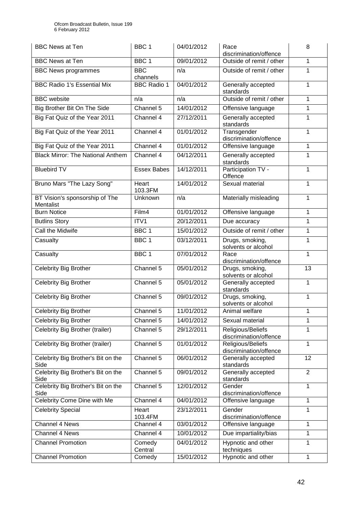| <b>BBC News at Ten</b>                      | BBC <sub>1</sub>       | 04/01/2012 | Race<br>discrimination/offence              | 8              |
|---------------------------------------------|------------------------|------------|---------------------------------------------|----------------|
| <b>BBC News at Ten</b>                      | BBC <sub>1</sub>       | 09/01/2012 | Outside of remit / other                    | 1              |
| <b>BBC News programmes</b>                  | <b>BBC</b><br>channels | n/a        | Outside of remit / other                    | 1              |
| <b>BBC Radio 1's Essential Mix</b>          | <b>BBC Radio 1</b>     | 04/01/2012 | Generally accepted<br>standards             | 1              |
| <b>BBC</b> website                          | n/a                    | n/a        | Outside of remit / other                    | 1              |
| Big Brother Bit On The Side                 | Channel 5              | 14/01/2012 | Offensive language                          | 1              |
| Big Fat Quiz of the Year 2011               | Channel 4              | 27/12/2011 | Generally accepted<br>standards             | 1              |
| Big Fat Quiz of the Year 2011               | Channel 4              | 01/01/2012 | Transgender<br>discrimination/offence       | 1              |
| Big Fat Quiz of the Year 2011               | Channel 4              | 01/01/2012 | Offensive language                          | 1              |
| <b>Black Mirror: The National Anthem</b>    | Channel 4              | 04/12/2011 | Generally accepted<br>standards             | 1              |
| <b>Bluebird TV</b>                          | <b>Essex Babes</b>     | 14/12/2011 | Participation TV -<br>Offence               | 1              |
| Bruno Mars "The Lazy Song"                  | Heart<br>103.3FM       | 14/01/2012 | Sexual material                             | 1              |
| BT Vision's sponsorship of The<br>Mentalist | Unknown                | n/a        | Materially misleading                       | 1              |
| <b>Burn Notice</b>                          | Film4                  | 01/01/2012 | Offensive language                          | 1              |
| <b>Butlins Story</b>                        | ITV1                   | 20/12/2011 | Due accuracy                                | 1              |
| Call the Midwife                            | BBC <sub>1</sub>       | 15/01/2012 | Outside of remit / other                    | 1              |
| Casualty                                    | BBC <sub>1</sub>       | 03/12/2011 | Drugs, smoking,<br>solvents or alcohol      | 1              |
| Casualty                                    | BBC <sub>1</sub>       | 07/01/2012 | Race<br>discrimination/offence              | 1              |
| <b>Celebrity Big Brother</b>                | Channel 5              | 05/01/2012 | Drugs, smoking,<br>solvents or alcohol      | 13             |
| Celebrity Big Brother                       | Channel 5              | 05/01/2012 | Generally accepted<br>standards             | 1              |
| Celebrity Big Brother                       | Channel 5              | 09/01/2012 | Drugs, smoking,<br>solvents or alcohol      | 1              |
| Celebrity Big Brother                       | Channel 5              | 11/01/2012 | Animal welfare                              | 1              |
| Celebrity Big Brother                       | Channel 5              | 14/01/2012 | Sexual material                             | 1              |
| Celebrity Big Brother (trailer)             | Channel 5              | 29/12/2011 | Religious/Beliefs<br>discrimination/offence | 1              |
| Celebrity Big Brother (trailer)             | Channel 5              | 01/01/2012 | Religious/Beliefs<br>discrimination/offence | 1              |
| Celebrity Big Brother's Bit on the<br>Side  | Channel 5              | 06/01/2012 | Generally accepted<br>standards             | 12             |
| Celebrity Big Brother's Bit on the<br>Side  | Channel 5              | 09/01/2012 | Generally accepted<br>standards             | $\overline{2}$ |
| Celebrity Big Brother's Bit on the<br>Side  | Channel 5              | 12/01/2012 | Gender<br>discrimination/offence            | 1              |
| Celebrity Come Dine with Me                 | Channel 4              | 04/01/2012 | Offensive language                          | 1              |
| <b>Celebrity Special</b>                    | Heart<br>103.4FM       | 23/12/2011 | Gender<br>discrimination/offence            | 1              |
| Channel 4 News                              | Channel 4              | 03/01/2012 | Offensive language                          | 1              |
| Channel 4 News                              | Channel 4              | 10/01/2012 | Due impartiality/bias                       | 1              |
| <b>Channel Promotion</b>                    | Comedy<br>Central      | 04/01/2012 | Hypnotic and other<br>techniques            | 1              |
| <b>Channel Promotion</b>                    | Comedy                 | 15/01/2012 | Hypnotic and other                          | 1              |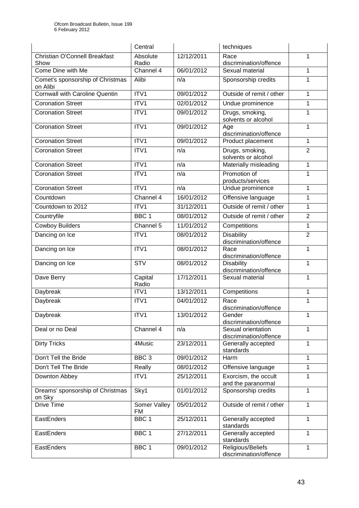|                                              | Central                   |            | techniques                                   |                |
|----------------------------------------------|---------------------------|------------|----------------------------------------------|----------------|
| Christian O'Connell Breakfast<br>Show        | Absolute<br>Radio         | 12/12/2011 | Race<br>discrimination/offence               | 1              |
| Come Dine with Me                            | Channel 4                 | 06/01/2012 | Sexual material                              | 1              |
| Comet's sponsorship of Christmas<br>on Alibi | Alibi                     | n/a        | Sponsorship credits                          | 1              |
| <b>Cornwall with Caroline Quentin</b>        | ITV1                      | 09/01/2012 | Outside of remit / other                     | 1              |
| <b>Coronation Street</b>                     | ITV1                      | 02/01/2012 | Undue prominence                             | 1              |
| <b>Coronation Street</b>                     | ITV1                      | 09/01/2012 | Drugs, smoking,<br>solvents or alcohol       | 1              |
| <b>Coronation Street</b>                     | ITV1                      | 09/01/2012 | Age<br>discrimination/offence                | 1              |
| <b>Coronation Street</b>                     | ITV1                      | 09/01/2012 | Product placement                            | 1              |
| <b>Coronation Street</b>                     | ITV1                      | n/a        | Drugs, smoking,<br>solvents or alcohol       | $\overline{2}$ |
| <b>Coronation Street</b>                     | ITV1                      | n/a        | Materially misleading                        | 1              |
| <b>Coronation Street</b>                     | ITV1                      | n/a        | Promotion of<br>products/services            | 1              |
| <b>Coronation Street</b>                     | ITV1                      | n/a        | Undue prominence                             | 1              |
| Countdown                                    | Channel 4                 | 16/01/2012 | Offensive language                           | 1              |
| Countdown to 2012                            | ITV <sub>1</sub>          | 31/12/2011 | Outside of remit / other                     | 1              |
| Countryfile                                  | BBC <sub>1</sub>          | 08/01/2012 | Outside of remit / other                     | $\overline{2}$ |
| <b>Cowboy Builders</b>                       | Channel 5                 | 11/01/2012 | Competitions                                 | 1              |
| Dancing on Ice                               | ITV1                      | 08/01/2012 | <b>Disability</b><br>discrimination/offence  | $\overline{2}$ |
| Dancing on Ice                               | ITV1                      | 08/01/2012 | Race<br>discrimination/offence               | 1              |
| Dancing on Ice                               | <b>STV</b>                | 08/01/2012 | <b>Disability</b><br>discrimination/offence  | 1              |
| Dave Berry                                   | Capital<br>Radio          | 17/12/2011 | Sexual material                              | 1              |
| Daybreak                                     | ITV1                      | 13/12/2011 | Competitions                                 | 1              |
| Daybreak                                     | ITV1                      | 04/01/2012 | Race<br>discrimination/offence               | 1              |
| Daybreak                                     | ITV <sub>1</sub>          | 13/01/2012 | Gender<br>discrimination/offence             |                |
| Deal or no Deal                              | Channel $4$               | n/a        | Sexual orientation<br>discrimination/offence | 1              |
| <b>Dirty Tricks</b>                          | 4Music                    | 23/12/2011 | Generally accepted<br>standards              | 1              |
| Don't Tell the Bride                         | BBC <sub>3</sub>          | 09/01/2012 | Harm                                         | 1              |
| Don't Tell The Bride                         | Really                    | 08/01/2012 | Offensive language                           | 1              |
| Downton Abbey                                | ITV1                      | 25/12/2011 | Exorcism, the occult<br>and the paranormal   | 1              |
| Dreams' sponsorship of Christmas<br>on Sky   | Sky1                      | 01/01/2012 | Sponsorship credits                          | 1              |
| Drive Time                                   | Somer Valley<br><b>FM</b> | 05/01/2012 | Outside of remit / other                     | 1              |
| EastEnders                                   | BBC <sub>1</sub>          | 25/12/2011 | Generally accepted<br>standards              | 1              |
| EastEnders                                   | BBC <sub>1</sub>          | 27/12/2011 | Generally accepted<br>standards              | 1              |
| EastEnders                                   | BBC <sub>1</sub>          | 09/01/2012 | Religious/Beliefs<br>discrimination/offence  | 1              |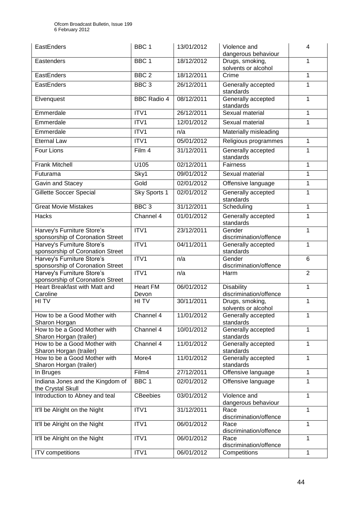| EastEnders                                                     | BBC <sub>1</sub>         | 13/01/2012 | Violence and<br>dangerous behaviour         | 4              |
|----------------------------------------------------------------|--------------------------|------------|---------------------------------------------|----------------|
| Eastenders                                                     | BBC <sub>1</sub>         | 18/12/2012 | Drugs, smoking,<br>solvents or alcohol      | $\mathbf{1}$   |
| EastEnders                                                     | BBC <sub>2</sub>         | 18/12/2011 | Crime                                       | 1              |
| EastEnders                                                     | BBC <sub>3</sub>         | 26/12/2011 | Generally accepted<br>standards             | 1              |
| Elvenquest                                                     | <b>BBC</b> Radio 4       | 08/12/2011 | Generally accepted<br>standards             | 1              |
| Emmerdale                                                      | ITV1                     | 26/12/2011 | Sexual material                             | 1              |
| Emmerdale                                                      | ITV1                     | 12/01/2012 | Sexual material                             | 1              |
| Emmerdale                                                      | ITV1                     | n/a        | Materially misleading                       |                |
| <b>Eternal Law</b>                                             | ITV1                     | 05/01/2012 | Religious programmes                        | 1              |
| <b>Four Lions</b>                                              | Film 4                   | 31/12/2011 | Generally accepted<br>standards             | 1              |
| <b>Frank Mitchell</b>                                          | U105                     | 02/12/2011 | <b>Fairness</b>                             | 1              |
| Futurama                                                       | Sky1                     | 09/01/2012 | Sexual material                             | 1              |
| Gavin and Stacey                                               | Gold                     | 02/01/2012 | Offensive language                          | 1              |
| <b>Gillette Soccer Special</b>                                 | Sky Sports 1             | 02/01/2012 | Generally accepted                          | $\mathbf{1}$   |
|                                                                |                          |            | standards                                   |                |
| <b>Great Movie Mistakes</b>                                    | BBC <sub>3</sub>         | 31/12/2011 | Scheduling                                  | $\mathbf 1$    |
| Hacks                                                          | Channel 4                | 01/01/2012 | Generally accepted<br>standards             | 1              |
| Harvey's Furniture Store's<br>sponsorship of Coronation Street | ITV1                     | 23/12/2011 | Gender<br>discrimination/offence            | $\mathbf{1}$   |
| Harvey's Furniture Store's<br>sponsorship of Coronation Street | ITV1                     | 04/11/2011 | Generally accepted<br>standards             | 1              |
| Harvey's Furniture Store's<br>sponsorship of Coronation Street | ITV1                     | n/a        | Gender<br>discrimination/offence            | 6              |
| Harvey's Furniture Store's<br>sponsorship of Coronation Street | ITV1                     | n/a        | Harm                                        | $\overline{2}$ |
| Heart Breakfast with Matt and<br>Caroline                      | <b>Heart FM</b><br>Devon | 06/01/2012 | <b>Disability</b><br>discrimination/offence | 1              |
| HI TV                                                          | HI TV                    | 30/11/2011 | Drugs, smoking,<br>solvents or alcohol      | $\mathbf 1$    |
| How to be a Good Mother with<br>Sharon Horgan                  | Channel 4                | 11/01/2012 | Generally accepted<br>standards             | 1              |
| How to be a Good Mother with<br>Sharon Horgan (trailer)        | Channel 4                | 10/01/2012 | Generally accepted<br>standards             | $\mathbf{1}$   |
| How to be a Good Mother with<br>Sharon Horgan (trailer)        | Channel 4                | 11/01/2012 | Generally accepted<br>standards             | $\mathbf{1}$   |
| How to be a Good Mother with<br>Sharon Horgan (trailer)        | More4                    | 11/01/2012 | Generally accepted<br>standards             | 1              |
| In Bruges                                                      | Film4                    | 27/12/2011 | Offensive language                          | 1              |
| Indiana Jones and the Kingdom of<br>the Crystal Skull          | BBC <sub>1</sub>         | 02/01/2012 | Offensive language                          | 1              |
| Introduction to Abney and teal                                 | <b>CBeebies</b>          | 03/01/2012 | Violence and<br>dangerous behaviour         | 1              |
| It'll be Alright on the Night                                  | ITV1                     | 31/12/2011 | Race<br>discrimination/offence              | 1              |
| It'll be Alright on the Night                                  | ITV1                     | 06/01/2012 | Race<br>discrimination/offence              | 1              |
| It'll be Alright on the Night                                  | ITV1                     | 06/01/2012 | Race<br>discrimination/offence              | $\mathbf{1}$   |
| ITV competitions                                               | ITV1                     | 06/01/2012 | Competitions                                | 1              |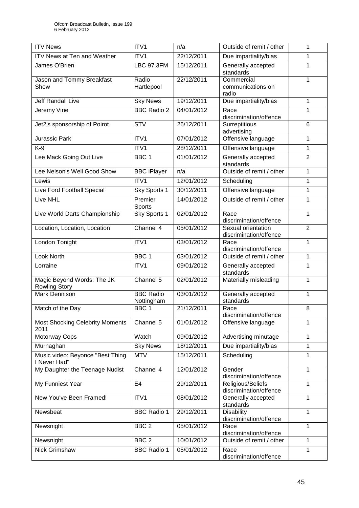| <b>ITV News</b>                                    | ITV <sub>1</sub>               | n/a        | Outside of remit / other                     | 1              |
|----------------------------------------------------|--------------------------------|------------|----------------------------------------------|----------------|
| ITV News at Ten and Weather                        | ITV1                           | 22/12/2011 | Due impartiality/bias                        | 1              |
| James O'Brien                                      | <b>LBC 97.3FM</b>              | 15/12/2011 | Generally accepted<br>standards              | 1              |
| Jason and Tommy Breakfast<br>Show                  | Radio<br>Hartlepool            | 22/12/2011 | Commercial<br>communications on<br>radio     | 1              |
| Jeff Randall Live                                  | <b>Sky News</b>                | 19/12/2011 | Due impartiality/bias                        | 1              |
| Jeremy Vine                                        | <b>BBC Radio 2</b>             | 04/01/2012 | Race<br>discrimination/offence               | 1              |
| Jet2's sponsorship of Poirot                       | <b>STV</b>                     | 26/12/2011 | Surreptitious<br>advertising                 | 6              |
| <b>Jurassic Park</b>                               | ITV1                           | 07/01/2012 | Offensive language                           | 1              |
| $K-9$                                              | ITV1                           | 28/12/2011 | Offensive language                           | 1              |
| Lee Mack Going Out Live                            | BBC <sub>1</sub>               | 01/01/2012 | Generally accepted<br>standards              | $\overline{2}$ |
| Lee Nelson's Well Good Show                        | <b>BBC</b> iPlayer             | n/a        | Outside of remit / other                     | 1              |
| Lewis                                              | ITV1                           | 12/01/2012 | Scheduling                                   | 1              |
| Live Ford Football Special                         | Sky Sports 1                   | 30/12/2011 | Offensive language                           | 1              |
| <b>Live NHL</b>                                    | Premier<br>Sports              | 14/01/2012 | Outside of remit / other                     | 1              |
| Live World Darts Championship                      | Sky Sports 1                   | 02/01/2012 | Race<br>discrimination/offence               | 1              |
| Location, Location, Location                       | Channel 4                      | 05/01/2012 | Sexual orientation<br>discrimination/offence | $\overline{2}$ |
| London Tonight                                     | ITV1                           | 03/01/2012 | Race<br>discrimination/offence               | 1              |
| Look North                                         | BBC <sub>1</sub>               | 03/01/2012 | Outside of remit / other                     | 1              |
| Lorraine                                           | ITV1                           | 09/01/2012 | Generally accepted<br>standards              | 1              |
| Magic Beyond Words: The JK<br><b>Rowling Story</b> | Channel 5                      | 02/01/2012 | Materially misleading                        | 1              |
| Mark Dennison                                      | <b>BBC Radio</b><br>Nottingham | 03/01/2012 | Generally accepted<br>standards              | 1              |
| Match of the Day                                   | BBC <sub>1</sub>               | 21/12/2011 | Race<br>discrimination/offence               | 8              |
| <b>Most Shocking Celebrity Moments</b><br>2011     | Channel 5                      | 01/01/2012 | Offensive language                           | 1              |
| Motorway Cops                                      | Watch                          | 09/01/2012 | Advertising minutage                         | 1              |
| Murnaghan                                          | <b>Sky News</b>                | 18/12/2011 | Due impartiality/bias                        | 1              |
| Music video: Beyonce "Best Thing<br>I Never Had"   | <b>MTV</b>                     | 15/12/2011 | Scheduling                                   | 1              |
| My Daughter the Teenage Nudist                     | Channel 4                      | 12/01/2012 | Gender<br>discrimination/offence             | 1              |
| My Funniest Year                                   | E <sub>4</sub>                 | 29/12/2011 | Religious/Beliefs<br>discrimination/offence  | 1              |
| New You've Been Framed!                            | ITV1                           | 08/01/2012 | Generally accepted<br>standards              | 1              |
| Newsbeat                                           | <b>BBC Radio 1</b>             | 29/12/2011 | <b>Disability</b><br>discrimination/offence  | 1              |
| Newsnight                                          | BBC <sub>2</sub>               | 05/01/2012 | Race<br>discrimination/offence               | 1              |
| Newsnight                                          | BBC <sub>2</sub>               | 10/01/2012 | Outside of remit / other                     | 1              |
| Nick Grimshaw                                      | <b>BBC Radio 1</b>             | 05/01/2012 | Race<br>discrimination/offence               | 1              |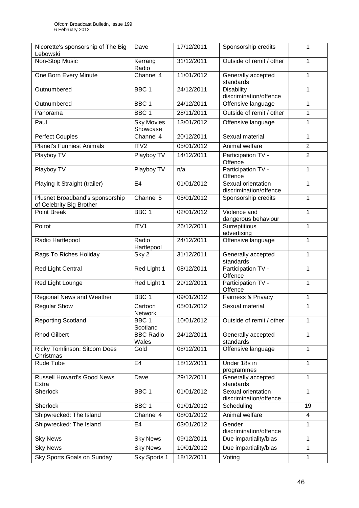| Nicorette's sponsorship of The Big<br>Lebowski              | Dave                          | 17/12/2011 | Sponsorship credits                          |                |
|-------------------------------------------------------------|-------------------------------|------------|----------------------------------------------|----------------|
| Non-Stop Music                                              | Kerrang<br>Radio              | 31/12/2011 | Outside of remit / other                     | 1              |
| One Born Every Minute                                       | Channel 4                     | 11/01/2012 | Generally accepted<br>standards              | 1              |
| Outnumbered                                                 | BBC <sub>1</sub>              | 24/12/2011 | <b>Disability</b><br>discrimination/offence  | 1              |
| Outnumbered                                                 | BBC <sub>1</sub>              | 24/12/2011 | Offensive language                           | 1              |
| Panorama                                                    | BBC <sub>1</sub>              | 28/11/2011 | Outside of remit / other                     | 1              |
| Paul                                                        | <b>Sky Movies</b><br>Showcase | 13/01/2012 | Offensive language                           | 1              |
| <b>Perfect Couples</b>                                      | Channel 4                     | 20/12/2011 | Sexual material                              | 1              |
| <b>Planet's Funniest Animals</b>                            | ITV <sub>2</sub>              | 05/01/2012 | Animal welfare                               | $\overline{2}$ |
| Playboy TV                                                  | Playboy TV                    | 14/12/2011 | Participation TV -<br>Offence                | $\overline{2}$ |
| Playboy TV                                                  | Playboy TV                    | n/a        | Participation TV -<br>Offence                | 1              |
| Playing It Straight (trailer)                               | E4                            | 01/01/2012 | Sexual orientation<br>discrimination/offence | 1              |
| Plusnet Broadband's sponsorship<br>of Celebrity Big Brother | Channel 5                     | 05/01/2012 | Sponsorship credits                          | 1              |
| <b>Point Break</b>                                          | BBC <sub>1</sub>              | 02/01/2012 | Violence and<br>dangerous behaviour          | 1              |
| Poirot                                                      | ITV1                          | 26/12/2011 | Surreptitious<br>advertising                 | 1              |
| Radio Hartlepool                                            | Radio<br>Hartlepool           | 24/12/2011 | Offensive language                           | 1              |
| Rags To Riches Holiday                                      | Sky <sub>2</sub>              | 31/12/2011 | Generally accepted<br>standards              | 1              |
| Red Light Central                                           | Red Light 1                   | 08/12/2011 | Participation TV -<br>Offence                | 1              |
| Red Light Lounge                                            | Red Light 1                   | 29/12/2011 | Participation TV -<br>Offence                | 1              |
| Regional News and Weather                                   | BBC <sub>1</sub>              | 09/01/2012 | Fairness & Privacy                           | 1              |
| <b>Regular Show</b>                                         | Cartoon<br>Network            | 05/01/2012 | Sexual material                              | 1              |
| <b>Reporting Scotland</b>                                   | BBC 1<br>Scotland             | 10/01/2012 | Outside of remit / other                     | 1              |
| <b>Rhod Gilbert</b>                                         | <b>BBC Radio</b><br>Wales     | 24/12/2011 | Generally accepted<br>standards              | 1              |
| Ricky Tomlinson: Sitcom Does<br>Christmas                   | Gold                          | 08/12/2011 | Offensive language                           | 1              |
| Rude Tube                                                   | E <sub>4</sub>                | 18/12/2011 | Under 18s in<br>programmes                   | 1              |
| <b>Russell Howard's Good News</b><br>Extra                  | Dave                          | 29/12/2011 | Generally accepted<br>standards              | 1              |
| Sherlock                                                    | BBC 1                         | 01/01/2012 | Sexual orientation<br>discrimination/offence | 1              |
| Sherlock                                                    | BBC <sub>1</sub>              | 01/01/2012 | Scheduling                                   | 19             |
| Shipwrecked: The Island                                     | Channel 4                     | 08/01/2012 | Animal welfare                               | 4              |
| Shipwrecked: The Island                                     | E <sub>4</sub>                | 03/01/2012 | Gender<br>discrimination/offence             | 1              |
| <b>Sky News</b>                                             | <b>Sky News</b>               | 09/12/2011 | Due impartiality/bias                        | 1              |
| <b>Sky News</b>                                             | <b>Sky News</b>               | 10/01/2012 | Due impartiality/bias                        | 1              |
| Sky Sports Goals on Sunday                                  | Sky Sports 1                  | 18/12/2011 | Voting                                       | 1              |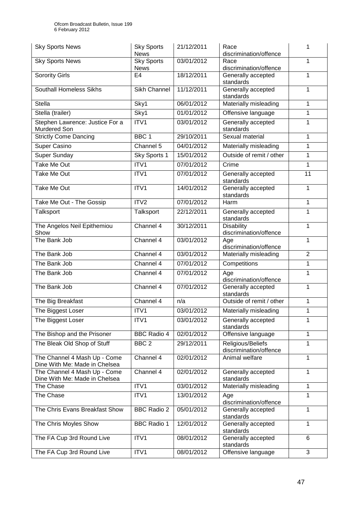| <b>Sky Sports News</b>                                        | <b>Sky Sports</b><br><b>News</b> | 21/12/2011 | Race<br>discrimination/offence              | 1              |
|---------------------------------------------------------------|----------------------------------|------------|---------------------------------------------|----------------|
| <b>Sky Sports News</b>                                        | <b>Sky Sports</b><br><b>News</b> | 03/01/2012 | Race<br>discrimination/offence              | 1              |
| <b>Sorority Girls</b>                                         | E <sub>4</sub>                   | 18/12/2011 | Generally accepted<br>standards             | 1              |
| Southall Homeless Sikhs                                       | Sikh Channel                     | 11/12/2011 | Generally accepted<br>standards             | 1              |
| <b>Stella</b>                                                 | Sky1                             | 06/01/2012 | Materially misleading                       | 1              |
| Stella (trailer)                                              | Sky1                             | 01/01/2012 | Offensive language                          | 1              |
| Stephen Lawrence: Justice For a<br>Murdered Son               | ITV1                             | 03/01/2012 | Generally accepted<br>standards             | 1              |
| <b>Strictly Come Dancing</b>                                  | BBC <sub>1</sub>                 | 29/10/2011 | Sexual material                             | 1              |
| <b>Super Casino</b>                                           | Channel 5                        | 04/01/2012 | Materially misleading                       | 1              |
| Super Sunday                                                  | Sky Sports 1                     | 15/01/2012 | Outside of remit / other                    | 1              |
| <b>Take Me Out</b>                                            | ITV1                             | 07/01/2012 | Crime                                       | 1              |
| <b>Take Me Out</b>                                            | ITV1                             | 07/01/2012 | Generally accepted<br>standards             | 11             |
| Take Me Out                                                   | ITV1                             | 14/01/2012 | Generally accepted<br>standards             | 1              |
| Take Me Out - The Gossip                                      | ITV2                             | 07/01/2012 | Harm                                        | 1              |
| Talksport                                                     | Talksport                        | 22/12/2011 | Generally accepted<br>standards             | 1              |
| The Angelos Neil Epithemiou<br>Show                           | Channel 4                        | 30/12/2011 | <b>Disability</b><br>discrimination/offence | 1              |
| The Bank Job                                                  | Channel 4                        | 03/01/2012 | Age<br>discrimination/offence               | 1              |
| The Bank Job                                                  | Channel 4                        | 03/01/2012 | Materially misleading                       | $\overline{2}$ |
| The Bank Job                                                  | Channel 4                        | 07/01/2012 | Competitions                                | 1              |
| The Bank Job                                                  | Channel 4                        | 07/01/2012 | Age<br>discrimination/offence               | 1              |
| The Bank Job                                                  | Channel 4                        | 07/01/2012 | Generally accepted<br>standards             | 1              |
| The Big Breakfast                                             | Channel 4                        | n/a        | Outside of remit / other                    | 1              |
| The Biggest Loser                                             | ITV1                             | 03/01/2012 | Materially misleading                       | 1              |
| The Biggest Loser                                             | ITV1                             | 03/01/2012 | Generally accepted<br>standards             | 1              |
| The Bishop and the Prisoner                                   | <b>BBC Radio 4</b>               | 02/01/2012 | Offensive language                          | 1              |
| The Bleak Old Shop of Stuff                                   | BBC <sub>2</sub>                 | 29/12/2011 | Religious/Beliefs<br>discrimination/offence | 1              |
| The Channel 4 Mash Up - Come<br>Dine With Me: Made in Chelsea | Channel 4                        | 02/01/2012 | Animal welfare                              | 1              |
| The Channel 4 Mash Up - Come<br>Dine With Me: Made in Chelsea | Channel 4                        | 02/01/2012 | Generally accepted<br>standards             | 1              |
| The Chase                                                     | ITV1                             | 03/01/2012 | Materially misleading                       | 1              |
| The Chase                                                     | ITV1                             | 13/01/2012 | Age<br>discrimination/offence               | 1              |
| The Chris Evans Breakfast Show                                | <b>BBC Radio 2</b>               | 05/01/2012 | Generally accepted<br>standards             | 1              |
| The Chris Moyles Show                                         | <b>BBC Radio 1</b>               | 12/01/2012 | Generally accepted<br>standards             | 1              |
| The FA Cup 3rd Round Live                                     | ITV1                             | 08/01/2012 | Generally accepted<br>standards             | 6              |
| The FA Cup 3rd Round Live                                     | ITV1                             | 08/01/2012 | Offensive language                          | 3              |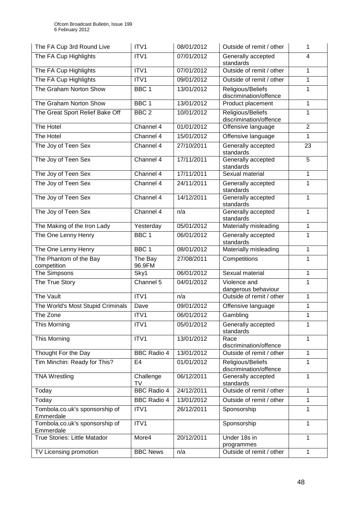| The FA Cup 3rd Round Live                   | ITV1               | 08/01/2012 | Outside of remit / other                    | 1              |
|---------------------------------------------|--------------------|------------|---------------------------------------------|----------------|
| The FA Cup Highlights                       | ITV1               | 07/01/2012 | Generally accepted<br>standards             | 4              |
| The FA Cup Highlights                       | ITV1               | 07/01/2012 | Outside of remit / other                    | $\mathbf{1}$   |
| The FA Cup Highlights                       | ITV1               | 09/01/2012 | Outside of remit / other                    | 1              |
| The Graham Norton Show                      | BBC <sub>1</sub>   | 13/01/2012 | Religious/Beliefs<br>discrimination/offence | 1              |
| The Graham Norton Show                      | BBC <sub>1</sub>   | 13/01/2012 | Product placement                           | 1              |
| The Great Sport Relief Bake Off             | BBC <sub>2</sub>   | 10/01/2012 | Religious/Beliefs<br>discrimination/offence | 1              |
| The Hotel                                   | Channel 4          | 01/01/2012 | Offensive language                          | $\overline{2}$ |
| The Hotel                                   | Channel 4          | 15/01/2012 | Offensive language                          | 1              |
| The Joy of Teen Sex                         | Channel 4          | 27/10/2011 | Generally accepted<br>standards             | 23             |
| The Joy of Teen Sex                         | Channel 4          | 17/11/2011 | Generally accepted<br>standards             | 5              |
| The Joy of Teen Sex                         | Channel 4          | 17/11/2011 | Sexual material                             | 1              |
| The Joy of Teen Sex                         | Channel 4          | 24/11/2011 | Generally accepted<br>standards             | 1              |
| The Joy of Teen Sex                         | Channel 4          | 14/12/2011 | Generally accepted<br>standards             | 1              |
| The Joy of Teen Sex                         | Channel 4          | n/a        | Generally accepted<br>standards             | 1              |
| The Making of the Iron Lady                 | Yesterday          | 05/01/2012 | Materially misleading                       | 1              |
| The One Lenny Henry                         | BBC <sub>1</sub>   | 06/01/2012 | Generally accepted<br>standards             | 1              |
| The One Lenny Henry                         | BBC <sub>1</sub>   | 08/01/2012 | Materially misleading                       | 1              |
| The Phantom of the Bay<br>competition       | The Bay<br>96.9FM  | 27/08/2011 | Competitions                                | 1              |
| The Simpsons                                | Sky1               | 06/01/2012 | Sexual material                             | 1              |
| The True Story                              | Channel 5          | 04/01/2012 | Violence and<br>dangerous behaviour         | 1              |
| The Vault                                   | ITV1               | n/a        | Outside of remit / other                    | 1              |
| The World's Most Stupid Criminals           | Dave               | 09/01/2012 | Offensive language                          | 1              |
| The Zone                                    | ITV1               | 06/01/2012 | Gambling                                    | 1              |
| This Morning                                | ITV1               | 05/01/2012 | Generally accepted<br>standards             | 1              |
| This Morning                                | ITV1               | 13/01/2012 | Race<br>discrimination/offence              | 1              |
| Thought For the Day                         | <b>BBC Radio 4</b> | 13/01/2012 | Outside of remit / other                    | 1              |
| Tim Minchin: Ready for This?                | E <sub>4</sub>     | 01/01/2012 | Religious/Beliefs<br>discrimination/offence | 1              |
| <b>TNA Wrestling</b>                        | Challenge<br>TV    | 06/12/2011 | Generally accepted<br>standards             | 1              |
| Today                                       | <b>BBC Radio 4</b> | 24/12/2011 | Outside of remit / other                    | 1              |
| Today                                       | <b>BBC Radio 4</b> | 13/01/2012 | Outside of remit / other                    | 1              |
| Tombola.co.uk's sponsorship of<br>Emmerdale | ITV1               | 26/12/2011 | Sponsorship                                 | 1              |
| Tombola.co.uk's sponsorship of<br>Emmerdale | ITV1               |            | Sponsorship                                 | 1              |
| <b>True Stories: Little Matador</b>         | More4              | 20/12/2011 | Under 18s in<br>programmes                  | 1              |
| TV Licensing promotion                      | <b>BBC News</b>    | n/a        | Outside of remit / other                    | 1              |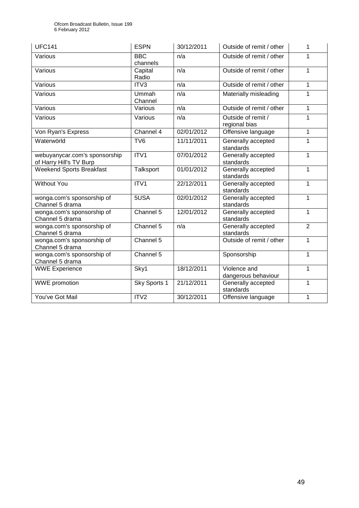| <b>UFC141</b>                                            | <b>ESPN</b>               | 30/12/2011 | Outside of remit / other            | 1              |
|----------------------------------------------------------|---------------------------|------------|-------------------------------------|----------------|
| Various                                                  | <b>BBC</b><br>channels    | n/a        | Outside of remit / other            | 1              |
| Various                                                  | Capital<br>Radio          | n/a        | Outside of remit / other            | 1              |
| Various                                                  | ITV3                      | n/a        | Outside of remit / other            | 1              |
| Various                                                  | Ummah<br>Channel          | n/a        | Materially misleading               | 1              |
| Various                                                  | Various                   | n/a        | Outside of remit / other            | 1              |
| Various                                                  | Various                   | n/a        | Outside of remit /<br>regional bias | 1              |
| Von Ryan's Express                                       | Channel 4                 | 02/01/2012 | Offensive language                  | 1              |
| Waterwörld                                               | TV <sub>6</sub>           | 11/11/2011 | Generally accepted<br>standards     | 1              |
| webuyanycar.com's sponsorship<br>of Harry Hill's TV Burp | ITV1                      | 07/01/2012 | Generally accepted<br>standards     | 1              |
| <b>Weekend Sports Breakfast</b>                          | Talksport                 | 01/01/2012 | Generally accepted<br>standards     | 1              |
| <b>Without You</b>                                       | ITV1                      | 22/12/2011 | Generally accepted<br>standards     | 1              |
| wonga.com's sponsorship of<br>Channel 5 drama            | 5USA                      | 02/01/2012 | Generally accepted<br>standards     | 1              |
| wonga.com's sponsorship of<br>Channel 5 drama            | Channel 5                 | 12/01/2012 | Generally accepted<br>standards     | 1              |
| wonga.com's sponsorship of<br>Channel 5 drama            | Channel 5                 | n/a        | Generally accepted<br>standards     | $\overline{2}$ |
| wonga.com's sponsorship of<br>Channel 5 drama            | Channel 5                 |            | Outside of remit / other            | 1              |
| wonga.com's sponsorship of<br>Channel 5 drama            | Channel 5                 |            | Sponsorship                         | 1              |
| <b>WWE Experience</b>                                    | $\overline{\text{Sky}}$ 1 | 18/12/2011 | Violence and<br>dangerous behaviour | 1              |
| <b>WWE</b> promotion                                     | Sky Sports 1              | 21/12/2011 | Generally accepted<br>standards     | 1              |
| You've Got Mail                                          | ITV <sub>2</sub>          | 30/12/2011 | Offensive language                  | 1              |